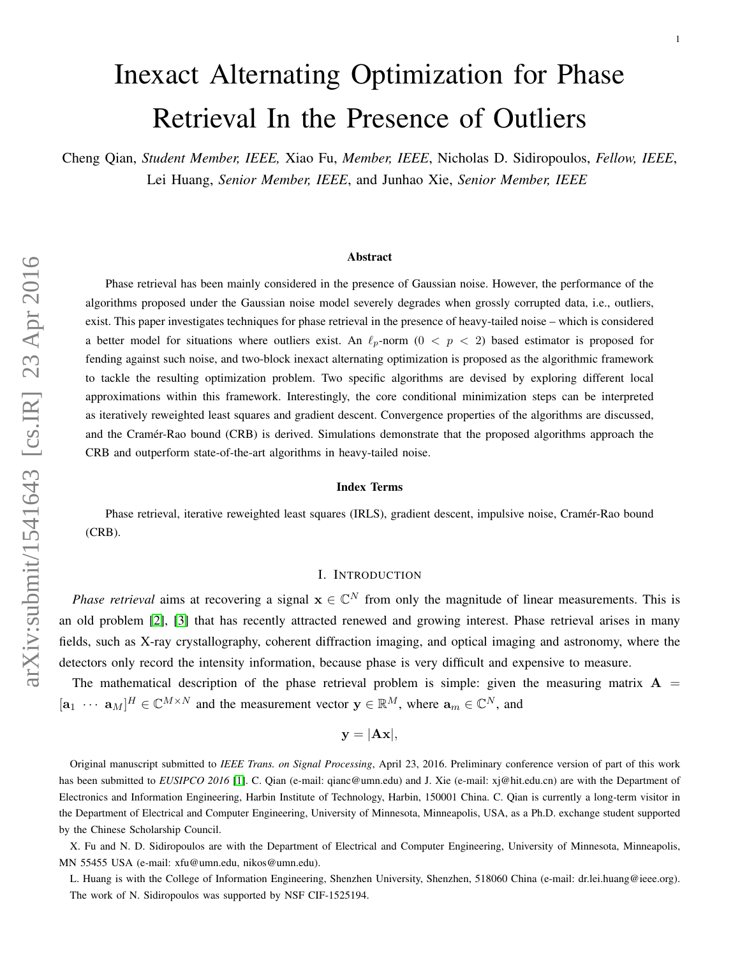# Inexact Alternating Optimization for Phase Retrieval In the Presence of Outliers

Cheng Qian, *Student Member, IEEE,* Xiao Fu, *Member, IEEE*, Nicholas D. Sidiropoulos, *Fellow, IEEE*, Lei Huang, *Senior Member, IEEE*, and Junhao Xie, *Senior Member, IEEE*

#### Abstract

Phase retrieval has been mainly considered in the presence of Gaussian noise. However, the performance of the algorithms proposed under the Gaussian noise model severely degrades when grossly corrupted data, i.e., outliers, exist. This paper investigates techniques for phase retrieval in the presence of heavy-tailed noise – which is considered a better model for situations where outliers exist. An  $\ell_p$ -norm (0 < p < 2) based estimator is proposed for fending against such noise, and two-block inexact alternating optimization is proposed as the algorithmic framework to tackle the resulting optimization problem. Two specific algorithms are devised by exploring different local approximations within this framework. Interestingly, the core conditional minimization steps can be interpreted as iteratively reweighted least squares and gradient descent. Convergence properties of the algorithms are discussed, and the Cramér-Rao bound (CRB) is derived. Simulations demonstrate that the proposed algorithms approach the CRB and outperform state-of-the-art algorithms in heavy-tailed noise.

#### Index Terms

Phase retrieval, iterative reweighted least squares (IRLS), gradient descent, impulsive noise, Cramer-Rao bound ´ (CRB).

# I. INTRODUCTION

*Phase retrieval* aims at recovering a signal  $x \in \mathbb{C}^N$  from only the magnitude of linear measurements. This is an old problem [\[2\]](#page-20-0), [\[3\]](#page-20-1) that has recently attracted renewed and growing interest. Phase retrieval arises in many fields, such as X-ray crystallography, coherent diffraction imaging, and optical imaging and astronomy, where the detectors only record the intensity information, because phase is very difficult and expensive to measure.

The mathematical description of the phase retrieval problem is simple: given the measuring matrix  $A =$  $[\mathbf{a}_1 \cdots \mathbf{a}_M]^H \in \mathbb{C}^{M \times N}$  and the measurement vector  $\mathbf{y} \in \mathbb{R}^M$ , where  $\mathbf{a}_m \in \mathbb{C}^N$ , and

$$
\mathbf{y} = |\mathbf{A}\mathbf{x}|,
$$

Original manuscript submitted to *IEEE Trans. on Signal Processing*, April 23, 2016. Preliminary conference version of part of this work has been submitted to *EUSIPCO 2016* [\[1\]](#page-20-2). C. Qian (e-mail: qianc@umn.edu) and J. Xie (e-mail: xj@hit.edu.cn) are with the Department of Electronics and Information Engineering, Harbin Institute of Technology, Harbin, 150001 China. C. Qian is currently a long-term visitor in the Department of Electrical and Computer Engineering, University of Minnesota, Minneapolis, USA, as a Ph.D. exchange student supported by the Chinese Scholarship Council.

X. Fu and N. D. Sidiropoulos are with the Department of Electrical and Computer Engineering, University of Minnesota, Minneapolis, MN 55455 USA (e-mail: xfu@umn.edu, nikos@umn.edu).

L. Huang is with the College of Information Engineering, Shenzhen University, Shenzhen, 518060 China (e-mail: dr.lei.huang@ieee.org). The work of N. Sidiropoulos was supported by NSF CIF-1525194.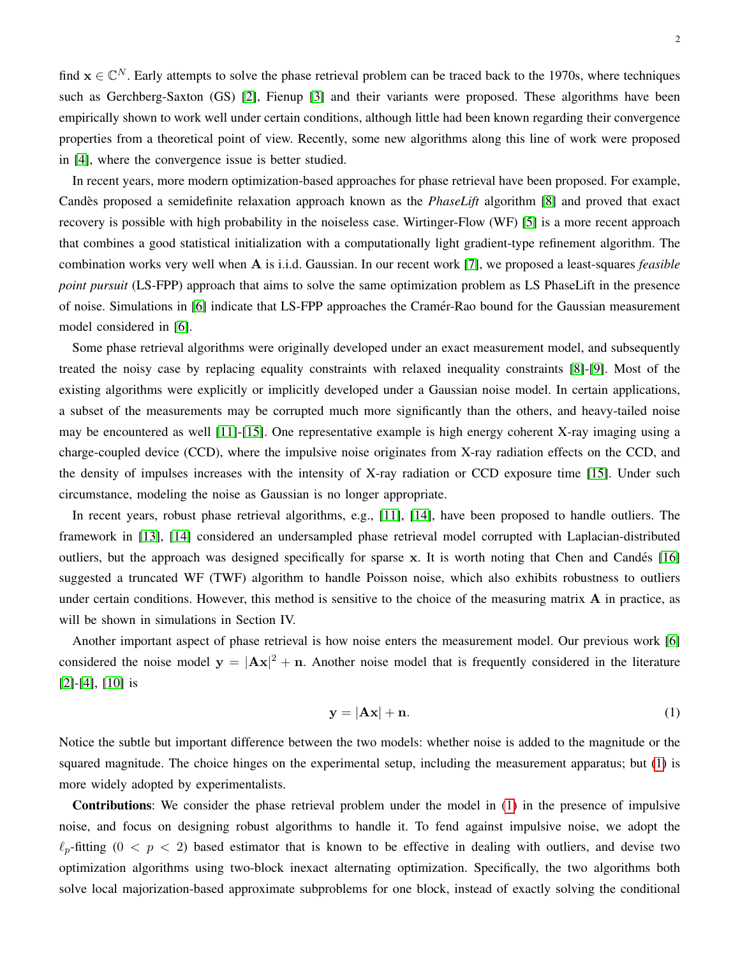find  $x \in \mathbb{C}^N$ . Early attempts to solve the phase retrieval problem can be traced back to the 1970s, where techniques such as Gerchberg-Saxton (GS) [\[2\]](#page-20-0), Fienup [\[3\]](#page-20-1) and their variants were proposed. These algorithms have been empirically shown to work well under certain conditions, although little had been known regarding their convergence properties from a theoretical point of view. Recently, some new algorithms along this line of work were proposed in [\[4\]](#page-20-3), where the convergence issue is better studied.

In recent years, more modern optimization-based approaches for phase retrieval have been proposed. For example, Candès proposed a semidefinite relaxation approach known as the *PhaseLift* algorithm [\[8\]](#page-21-0) and proved that exact recovery is possible with high probability in the noiseless case. Wirtinger-Flow (WF) [\[5\]](#page-20-4) is a more recent approach that combines a good statistical initialization with a computationally light gradient-type refinement algorithm. The combination works very well when A is i.i.d. Gaussian. In our recent work [\[7\]](#page-21-1), we proposed a least-squares *feasible point pursuit* (LS-FPP) approach that aims to solve the same optimization problem as LS PhaseLift in the presence of noise. Simulations in [\[6\]](#page-20-5) indicate that LS-FPP approaches the Cramer-Rao bound for the Gaussian measurement ´ model considered in [\[6\]](#page-20-5).

Some phase retrieval algorithms were originally developed under an exact measurement model, and subsequently treated the noisy case by replacing equality constraints with relaxed inequality constraints [\[8\]](#page-21-0)-[\[9\]](#page-21-2). Most of the existing algorithms were explicitly or implicitly developed under a Gaussian noise model. In certain applications, a subset of the measurements may be corrupted much more significantly than the others, and heavy-tailed noise may be encountered as well [\[11\]](#page-21-3)-[\[15\]](#page-21-4). One representative example is high energy coherent X-ray imaging using a charge-coupled device (CCD), where the impulsive noise originates from X-ray radiation effects on the CCD, and the density of impulses increases with the intensity of X-ray radiation or CCD exposure time [\[15\]](#page-21-4). Under such circumstance, modeling the noise as Gaussian is no longer appropriate.

In recent years, robust phase retrieval algorithms, e.g., [\[11\]](#page-21-3), [\[14\]](#page-21-5), have been proposed to handle outliers. The framework in [\[13\]](#page-21-6), [\[14\]](#page-21-5) considered an undersampled phase retrieval model corrupted with Laplacian-distributed outliers, but the approach was designed specifically for sparse x. It is worth noting that Chen and Candes [\[16\]](#page-21-7) ´ suggested a truncated WF (TWF) algorithm to handle Poisson noise, which also exhibits robustness to outliers under certain conditions. However, this method is sensitive to the choice of the measuring matrix  $A$  in practice, as will be shown in simulations in Section IV.

Another important aspect of phase retrieval is how noise enters the measurement model. Our previous work [\[6\]](#page-20-5) considered the noise model  $y = |Ax|^2 + n$ . Another noise model that is frequently considered in the literature [\[2\]](#page-20-0)-[\[4\]](#page-20-3), [\[10\]](#page-21-8) is

<span id="page-1-0"></span>
$$
y = |Ax| + n. \tag{1}
$$

Notice the subtle but important difference between the two models: whether noise is added to the magnitude or the squared magnitude. The choice hinges on the experimental setup, including the measurement apparatus; but [\(1\)](#page-1-0) is more widely adopted by experimentalists.

Contributions: We consider the phase retrieval problem under the model in [\(1\)](#page-1-0) in the presence of impulsive noise, and focus on designing robust algorithms to handle it. To fend against impulsive noise, we adopt the  $\ell_p$ -fitting (0 < p < 2) based estimator that is known to be effective in dealing with outliers, and devise two optimization algorithms using two-block inexact alternating optimization. Specifically, the two algorithms both solve local majorization-based approximate subproblems for one block, instead of exactly solving the conditional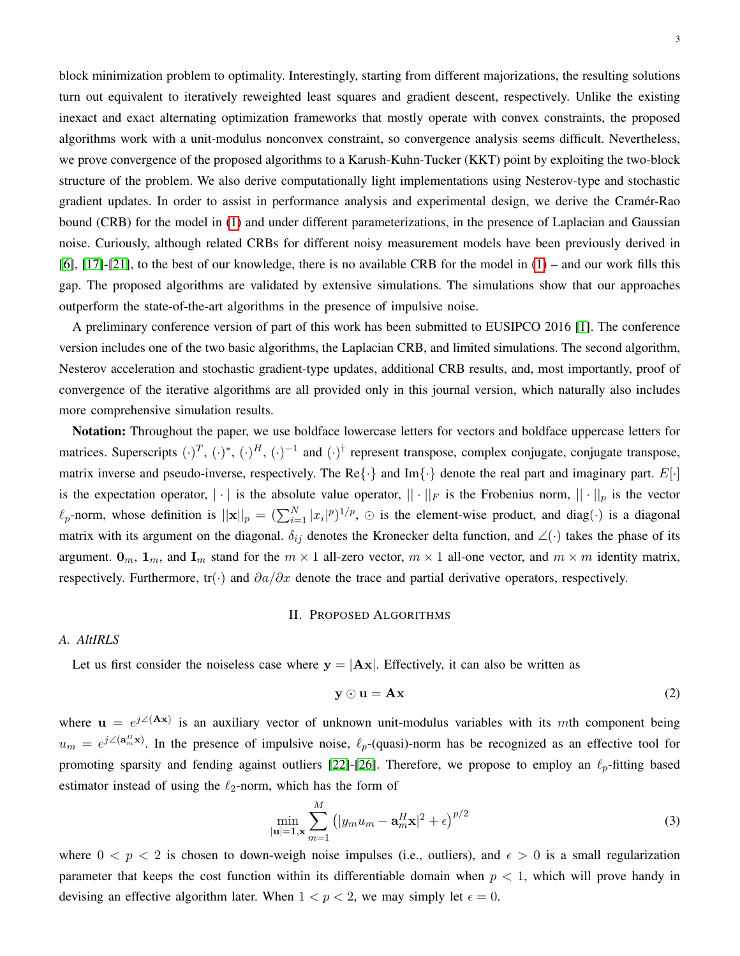block minimization problem to optimality. Interestingly, starting from different majorizations, the resulting solutions turn out equivalent to iteratively reweighted least squares and gradient descent, respectively. Unlike the existing inexact and exact alternating optimization frameworks that mostly operate with convex constraints, the proposed algorithms work with a unit-modulus nonconvex constraint, so convergence analysis seems difficult. Nevertheless, we prove convergence of the proposed algorithms to a Karush-Kuhn-Tucker (KKT) point by exploiting the two-block structure of the problem. We also derive computationally light implementations using Nesterov-type and stochastic gradient updates. In order to assist in performance analysis and experimental design, we derive the Cramer-Rao ´ bound (CRB) for the model in [\(1\)](#page-1-0) and under different parameterizations, in the presence of Laplacian and Gaussian noise. Curiously, although related CRBs for different noisy measurement models have been previously derived in [\[6\]](#page-20-5), [\[17\]](#page-21-9)-[\[21\]](#page-21-10), to the best of our knowledge, there is no available CRB for the model in [\(1\)](#page-1-0) – and our work fills this gap. The proposed algorithms are validated by extensive simulations. The simulations show that our approaches outperform the state-of-the-art algorithms in the presence of impulsive noise.

A preliminary conference version of part of this work has been submitted to EUSIPCO 2016 [\[1\]](#page-20-2). The conference version includes one of the two basic algorithms, the Laplacian CRB, and limited simulations. The second algorithm, Nesterov acceleration and stochastic gradient-type updates, additional CRB results, and, most importantly, proof of convergence of the iterative algorithms are all provided only in this journal version, which naturally also includes more comprehensive simulation results.

Notation: Throughout the paper, we use boldface lowercase letters for vectors and boldface uppercase letters for matrices. Superscripts  $(\cdot)^T$ ,  $(\cdot)^*$ ,  $(\cdot)^H$ ,  $(\cdot)^{-1}$  and  $(\cdot)^{\dagger}$  represent transpose, complex conjugate, conjugate transpose, matrix inverse and pseudo-inverse, respectively. The Re $\{\cdot\}$  and Im $\{\cdot\}$  denote the real part and imaginary part.  $E[\cdot]$ is the expectation operator,  $|\cdot|$  is the absolute value operator,  $||\cdot||_F$  is the Frobenius norm,  $||\cdot||_p$  is the vector  $\ell_p$ -norm, whose definition is  $||\mathbf{x}||_p = (\sum_{i=1}^N |x_i|^p)^{1/p}$ ,  $\odot$  is the element-wise product, and diag( $\cdot$ ) is a diagonal matrix with its argument on the diagonal.  $\delta_{ij}$  denotes the Kronecker delta function, and ∠ $(\cdot)$  takes the phase of its argument.  $\mathbf{0}_m$ ,  $\mathbf{1}_m$ , and  $\mathbf{I}_m$  stand for the  $m \times 1$  all-zero vector,  $m \times 1$  all-one vector, and  $m \times m$  identity matrix, respectively. Furthermore, tr(·) and  $\partial a/\partial x$  denote the trace and partial derivative operators, respectively.

#### II. PROPOSED ALGORITHMS

# *A. AltIRLS*

Let us first consider the noiseless case where  $y = |Ax|$ . Effectively, it can also be written as

<span id="page-2-0"></span>
$$
y \odot u = Ax \tag{2}
$$

where  $\mathbf{u} = e^{j\angle(\mathbf{A}\mathbf{x})}$  is an auxiliary vector of unknown unit-modulus variables with its mth component being  $u_m = e^{j\angle(\mathbf{a}_m^H \mathbf{x})}$ . In the presence of impulsive noise,  $\ell_p$ -(quasi)-norm has be recognized as an effective tool for promoting sparsity and fending against outliers [\[22\]](#page-21-11)-[\[26\]](#page-21-12). Therefore, we propose to employ an  $\ell_p$ -fitting based estimator instead of using the  $\ell_2$ -norm, which has the form of

$$
\min_{|\mathbf{u}|=1,\mathbf{x}} \sum_{m=1}^{M} \left( |y_m u_m - \mathbf{a}_m^H \mathbf{x}|^2 + \epsilon \right)^{p/2}
$$
\n(3)

where  $0 < p < 2$  is chosen to down-weigh noise impulses (i.e., outliers), and  $\epsilon > 0$  is a small regularization parameter that keeps the cost function within its differentiable domain when  $p < 1$ , which will prove handy in devising an effective algorithm later. When  $1 < p < 2$ , we may simply let  $\epsilon = 0$ .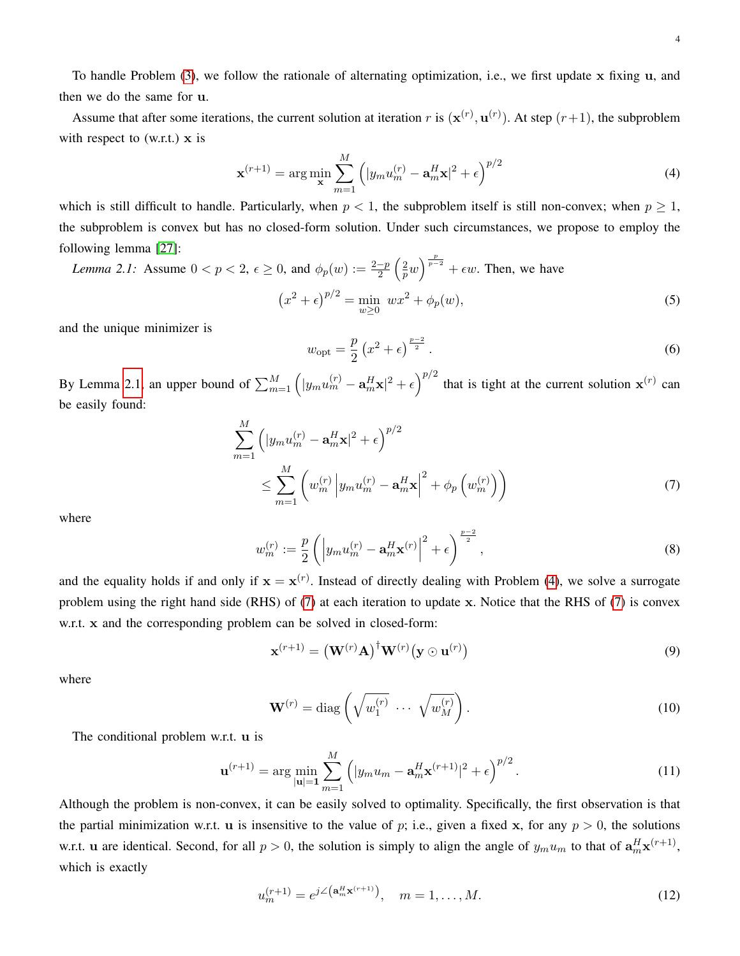To handle Problem [\(3\)](#page-2-0), we follow the rationale of alternating optimization, i.e., we first update x fixing u, and then we do the same for u.

Assume that after some iterations, the current solution at iteration r is  $({\bf x}^{(r)}, {\bf u}^{(r)})$ . At step  $(r+1)$ , the subproblem with respect to  $(w.r.t.)$  x is

<span id="page-3-0"></span>
$$
\mathbf{x}^{(r+1)} = \arg\min_{\mathbf{x}} \sum_{m=1}^{M} \left( |y_m u_m^{(r)} - \mathbf{a}_m^H \mathbf{x}|^2 + \epsilon \right)^{p/2}
$$
(4)

which is still difficult to handle. Particularly, when  $p < 1$ , the subproblem itself is still non-convex; when  $p \ge 1$ , the subproblem is convex but has no closed-form solution. Under such circumstances, we propose to employ the following lemma [\[27\]](#page-21-13):

Lemma 2.1: Assume 
$$
0 < p < 2
$$
,  $\epsilon \ge 0$ , and  $\phi_p(w) := \frac{2-p}{2} \left(\frac{2}{p}w\right)^{\frac{p}{p-2}} + \epsilon w$ . Then, we have  
\n
$$
\left(x^2 + \epsilon\right)^{p/2} = \min_{w \ge 0} wx^2 + \phi_p(w),
$$
\n(5)

and the unique minimizer is

<span id="page-3-2"></span><span id="page-3-1"></span>
$$
w_{\rm opt} = \frac{p}{2} \left( x^2 + \epsilon \right)^{\frac{p-2}{2}}.
$$
\n<sup>(6)</sup>

By Lemma [2.1,](#page-3-0) an upper bound of  $\sum_{m=1}^{M} (|y_m u_m^{(r)} - a_m^H x|^2 + \epsilon)^{p/2}$  that is tight at the current solution  $x^{(r)}$  can be easily found:

$$
\sum_{m=1}^{M} \left( |y_m u_m^{(r)} - \mathbf{a}_m^H \mathbf{x}|^2 + \epsilon \right)^{p/2} \n\leq \sum_{m=1}^{M} \left( w_m^{(r)} \left| y_m u_m^{(r)} - \mathbf{a}_m^H \mathbf{x} \right|^2 + \phi_p \left( w_m^{(r)} \right) \right)
$$
\n(7)

where

$$
w_m^{(r)} := \frac{p}{2} \left( \left| y_m u_m^{(r)} - \mathbf{a}_m^H \mathbf{x}^{(r)} \right|^2 + \epsilon \right)^{\frac{p-2}{2}}, \tag{8}
$$

and the equality holds if and only if  $x = x<sup>(r)</sup>$ . Instead of directly dealing with Problem [\(4\)](#page-3-1), we solve a surrogate problem using the right hand side (RHS) of [\(7\)](#page-3-2) at each iteration to update x. Notice that the RHS of [\(7\)](#page-3-2) is convex w.r.t. x and the corresponding problem can be solved in closed-form:

$$
\mathbf{x}^{(r+1)} = (\mathbf{W}^{(r)}\mathbf{A})^{\dagger} \mathbf{W}^{(r)} (\mathbf{y} \odot \mathbf{u}^{(r)})
$$
\n(9)

where

$$
\mathbf{W}^{(r)} = \text{diag}\left(\sqrt{w_1^{(r)}} \cdots \sqrt{w_M^{(r)}}\right). \tag{10}
$$

The conditional problem w.r.t. u is

$$
\mathbf{u}^{(r+1)} = \arg\min_{|\mathbf{u}|=1} \sum_{m=1}^{M} \left( |y_m u_m - \mathbf{a}_m^H \mathbf{x}^{(r+1)}|^2 + \epsilon \right)^{p/2}.
$$
 (11)

Although the problem is non-convex, it can be easily solved to optimality. Specifically, the first observation is that the partial minimization w.r.t. u is insensitive to the value of p; i.e., given a fixed x, for any  $p > 0$ , the solutions w.r.t. u are identical. Second, for all  $p > 0$ , the solution is simply to align the angle of  $y_m u_m$  to that of  $a_m^H x^{(r+1)}$ , which is exactly

$$
u_m^{(r+1)} = e^{j\angle(\mathbf{a}_m^H \mathbf{x}^{(r+1)})}, \quad m = 1, \dots, M.
$$
 (12)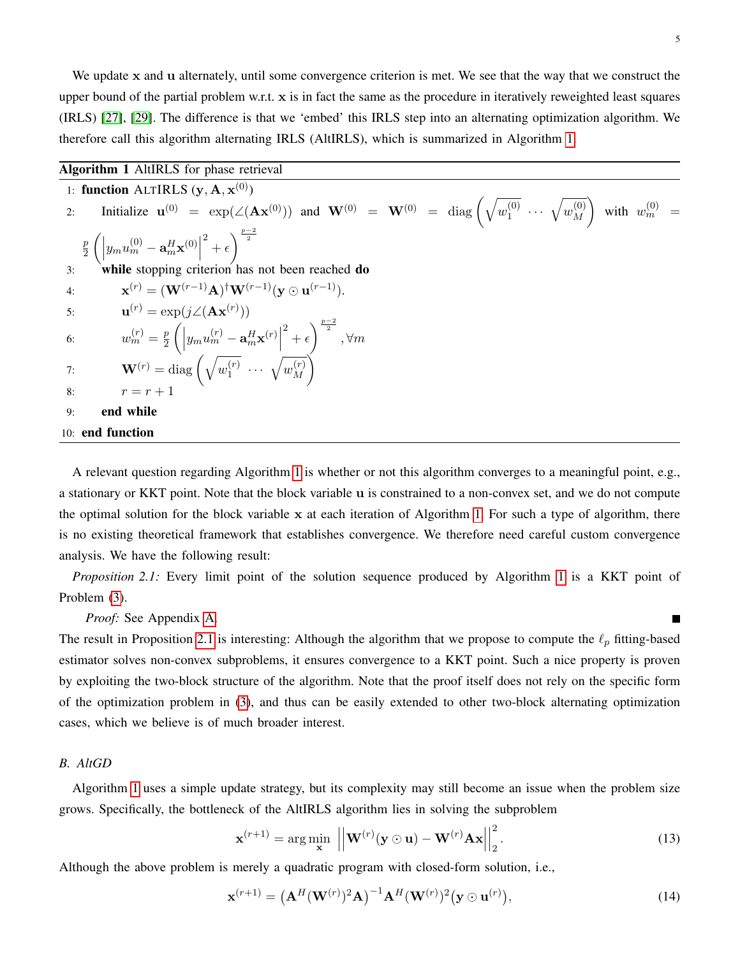We update x and u alternately, until some convergence criterion is met. We see that the way that we construct the upper bound of the partial problem w.r.t. x is in fact the same as the procedure in iteratively reweighted least squares (IRLS) [\[27\]](#page-21-13), [\[29\]](#page-21-14). The difference is that we 'embed' this IRLS step into an alternating optimization algorithm. We therefore call this algorithm alternating IRLS (AltIRLS), which is summarized in Algorithm [1.](#page-4-0)

<span id="page-4-0"></span>

| <b>Algorithm 1</b> AltIRLS for phase retrieval                                                                                                                                                                 |
|----------------------------------------------------------------------------------------------------------------------------------------------------------------------------------------------------------------|
| 1: function ALTIRLS $(y, A, x^{(0)})$                                                                                                                                                                          |
| Initialize $\mathbf{u}^{(0)} = \exp(\angle(\mathbf{A}\mathbf{x}^{(0)}))$ and $\mathbf{W}^{(0)} = \mathbf{W}^{(0)} = \text{diag}\left(\sqrt{u_1^{(0)} \cdots \sqrt{u_M^{(0)}}}\right)$ with $w_m^{(0)} =$<br>2: |
| $-\frac{p}{2}\left(\left y_mu_m^{(0)}-\mathbf{a}_m^H\mathbf{x}^{(0)}\right ^2+\epsilon\right)^{\frac{p-2}{2}}$                                                                                                 |
| while stopping criterion has not been reached do<br>3:                                                                                                                                                         |
| $\mathbf{x}^{(r)} = (\mathbf{W}^{(r-1)}\mathbf{A})^{\dagger} \mathbf{W}^{(r-1)}(\mathbf{v} \odot \mathbf{u}^{(r-1)}).$<br>4:                                                                                   |
| $\mathbf{u}^{(r)} = \exp(j\angle(\mathbf{A}\mathbf{x}^{(r)}))$<br>5:                                                                                                                                           |
| $w_m^{(r)} = \frac{p}{2} \left( \left  y_m u_m^{(r)} - \mathbf{a}_m^H \mathbf{x}^{(r)} \right ^2 + \epsilon \right)^{\frac{p-2}{2}}, \forall m$<br>6:                                                          |
| $\mathbf{W}^{(r)} = \mathrm{diag}\left(\sqrt{w_1^{(r)}} \; \cdots \; \sqrt{w_M^{(r)}} \right)$<br>7:                                                                                                           |
| $r = r + 1$<br>8:                                                                                                                                                                                              |
| end while<br>9:                                                                                                                                                                                                |
| 10: end function                                                                                                                                                                                               |

A relevant question regarding Algorithm [1](#page-4-0) is whether or not this algorithm converges to a meaningful point, e.g., a stationary or KKT point. Note that the block variable u is constrained to a non-convex set, and we do not compute the optimal solution for the block variable x at each iteration of Algorithm [1.](#page-4-0) For such a type of algorithm, there is no existing theoretical framework that establishes convergence. We therefore need careful custom convergence analysis. We have the following result:

*Proposition 2.1:* Every limit point of the solution sequence produced by Algorithm [1](#page-4-0) is a KKT point of Problem [\(3\)](#page-2-0).

<span id="page-4-1"></span>*Proof:* See Appendix [A.](#page-14-0)

The result in Proposition [2.1](#page-4-1) is interesting: Although the algorithm that we propose to compute the  $\ell_p$  fitting-based estimator solves non-convex subproblems, it ensures convergence to a KKT point. Such a nice property is proven by exploiting the two-block structure of the algorithm. Note that the proof itself does not rely on the specific form of the optimization problem in [\(3\)](#page-2-0), and thus can be easily extended to other two-block alternating optimization cases, which we believe is of much broader interest.

# *B. AltGD*

Algorithm [1](#page-4-0) uses a simple update strategy, but its complexity may still become an issue when the problem size grows. Specifically, the bottleneck of the AltIRLS algorithm lies in solving the subproblem

$$
\mathbf{x}^{(r+1)} = \arg\min_{\mathbf{x}} \left| \left| \mathbf{W}^{(r)}(\mathbf{y} \odot \mathbf{u}) - \mathbf{W}^{(r)} \mathbf{A} \mathbf{x} \right| \right|_2^2.
$$
 (13)

Although the above problem is merely a quadratic program with closed-form solution, i.e.,

$$
\mathbf{x}^{(r+1)} = \left(\mathbf{A}^H(\mathbf{W}^{(r)})^2 \mathbf{A}\right)^{-1} \mathbf{A}^H(\mathbf{W}^{(r)})^2 (\mathbf{y} \odot \mathbf{u}^{(r)}), \tag{14}
$$

<span id="page-4-2"></span>П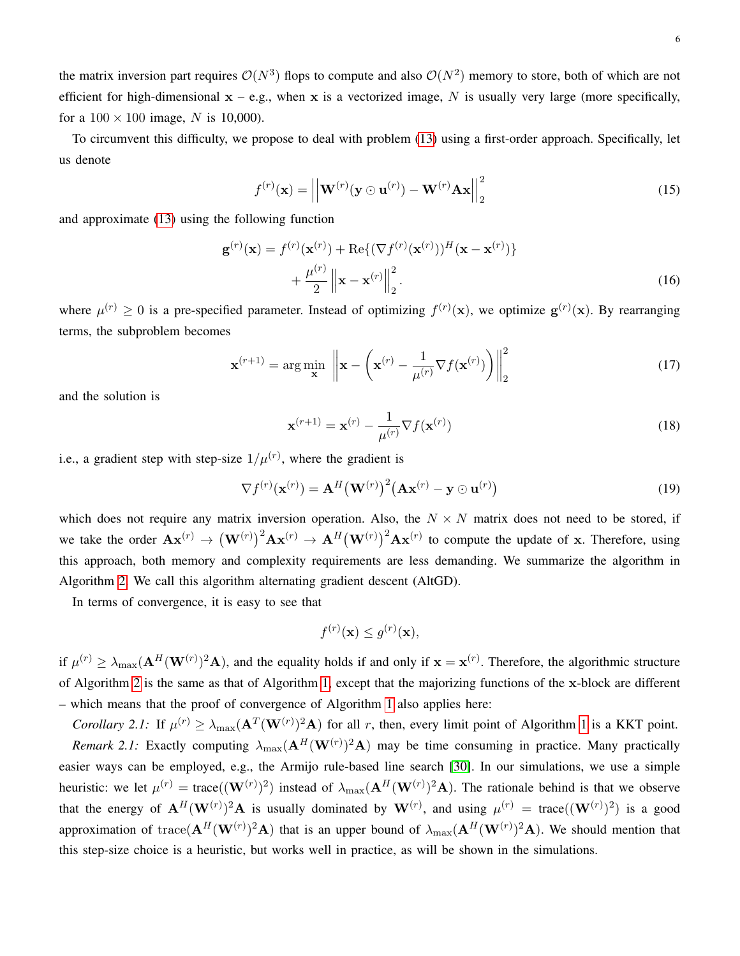the matrix inversion part requires  $\mathcal{O}(N^3)$  flops to compute and also  $\mathcal{O}(N^2)$  memory to store, both of which are not efficient for high-dimensional  $x - e.g.,$  when x is a vectorized image, N is usually very large (more specifically, for a  $100 \times 100$  image, N is 10,000).

To circumvent this difficulty, we propose to deal with problem [\(13\)](#page-4-2) using a first-order approach. Specifically, let us denote

$$
f^{(r)}(\mathbf{x}) = \left| \left| \mathbf{W}^{(r)}(\mathbf{y} \odot \mathbf{u}^{(r)}) - \mathbf{W}^{(r)} \mathbf{A} \mathbf{x} \right| \right|_2^2 \tag{15}
$$

and approximate [\(13\)](#page-4-2) using the following function

$$
\mathbf{g}^{(r)}(\mathbf{x}) = f^{(r)}(\mathbf{x}^{(r)}) + \text{Re}\{(\nabla f^{(r)}(\mathbf{x}^{(r)}))^H(\mathbf{x} - \mathbf{x}^{(r)})\} + \frac{\mu^{(r)}}{2} ||\mathbf{x} - \mathbf{x}^{(r)}||_2^2.
$$
\n(16)

where  $\mu^{(r)} \geq 0$  is a pre-specified parameter. Instead of optimizing  $f^{(r)}(\mathbf{x})$ , we optimize  $\mathbf{g}^{(r)}(\mathbf{x})$ . By rearranging terms, the subproblem becomes

$$
\mathbf{x}^{(r+1)} = \arg\min_{\mathbf{x}} \left\| \mathbf{x} - \left( \mathbf{x}^{(r)} - \frac{1}{\mu^{(r)}} \nabla f(\mathbf{x}^{(r)}) \right) \right\|_{2}^{2} \tag{17}
$$

and the solution is

$$
\mathbf{x}^{(r+1)} = \mathbf{x}^{(r)} - \frac{1}{\mu^{(r)}} \nabla f(\mathbf{x}^{(r)})
$$
\n(18)

i.e., a gradient step with step-size  $1/\mu^{(r)}$ , where the gradient is

$$
\nabla f^{(r)}(\mathbf{x}^{(r)}) = \mathbf{A}^H (\mathbf{W}^{(r)})^2 (\mathbf{A} \mathbf{x}^{(r)} - \mathbf{y} \odot \mathbf{u}^{(r)})
$$
(19)

which does not require any matrix inversion operation. Also, the  $N \times N$  matrix does not need to be stored, if we take the order  $\mathbf{A} \mathbf{x}^{(r)} \to (\mathbf{W}^{(r)})^2 \mathbf{A} \mathbf{x}^{(r)} \to \mathbf{A}^H (\mathbf{W}^{(r)})^2 \mathbf{A} \mathbf{x}^{(r)}$  to compute the update of x. Therefore, using this approach, both memory and complexity requirements are less demanding. We summarize the algorithm in Algorithm [2.](#page-6-0) We call this algorithm alternating gradient descent (AltGD).

In terms of convergence, it is easy to see that

$$
f^{(r)}(\mathbf{x}) \le g^{(r)}(\mathbf{x}),
$$

if  $\mu^{(r)} \ge \lambda_{\max}(\mathbf{A}^H(\mathbf{W}^{(r)})^2\mathbf{A})$ , and the equality holds if and only if  $\mathbf{x} = \mathbf{x}^{(r)}$ . Therefore, the algorithmic structure of Algorithm [2](#page-6-0) is the same as that of Algorithm [1,](#page-4-0) except that the majorizing functions of the x-block are different – which means that the proof of convergence of Algorithm [1](#page-4-0) also applies here:

*Corollary 2.1:* If  $\mu^{(r)} \ge \lambda_{\max}(\mathbf{A}^T(\mathbf{W}^{(r)})^2\mathbf{A})$  for all r, then, every limit point of Algorithm [1](#page-4-0) is a KKT point. *Remark 2.1:* Exactly computing  $\lambda_{\text{max}}(A^H(W^{(r)})^2A)$  may be time consuming in practice. Many practically easier ways can be employed, e.g., the Armijo rule-based line search [\[30\]](#page-21-15). In our simulations, we use a simple heuristic: we let  $\mu^{(r)} = \text{trace}((\mathbf{W}^{(r)})^2)$  instead of  $\lambda_{\text{max}}(\mathbf{A}^H(\mathbf{W}^{(r)})^2\mathbf{A})$ . The rationale behind is that we observe that the energy of  $A^H(W^{(r)})^2A$  is usually dominated by  $W^{(r)}$ , and using  $\mu^{(r)} = \text{trace}((W^{(r)})^2)$  is a good approximation of trace( $A^H(W^{(r)})^2A$ ) that is an upper bound of  $\lambda_{\max}(A^H(W^{(r)})^2A)$ . We should mention that this step-size choice is a heuristic, but works well in practice, as will be shown in the simulations.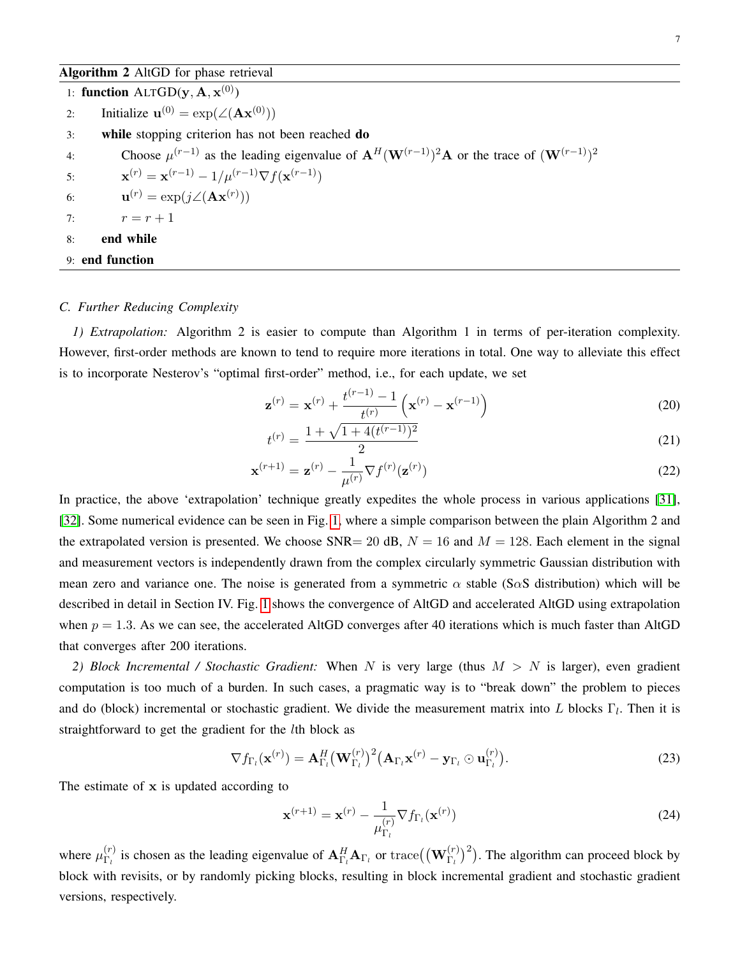<span id="page-6-0"></span>1: function  $\text{ALTGD}(\mathbf{y}, \mathbf{A}, \mathbf{x}^{(0)})$ 2: Initialize  $\mathbf{u}^{(0)} = \exp(\angle(\mathbf{A}\mathbf{x}^{(0)}))$ 3: while stopping criterion has not been reached do 4: Choose  $\mu^{(r-1)}$  as the leading eigenvalue of  ${\bf A}^{H}({\bf W}^{(r-1)})^2{\bf A}$  or the trace of  $({\bf W}^{(r-1)})^2$ 5:  $\mathbf{x}^{(r)} = \mathbf{x}^{(r-1)} - 1/\mu^{(r-1)} \nabla f(\mathbf{x}^{(r-1)})$ 6:  $\mathbf{u}^{(r)} = \exp(j\angle(\mathbf{A}\mathbf{x}^{(r)}))$ 7:  $r = r + 1$ 8: end while 9: end function

# *C. Further Reducing Complexity*

*1) Extrapolation:* Algorithm 2 is easier to compute than Algorithm 1 in terms of per-iteration complexity. However, first-order methods are known to tend to require more iterations in total. One way to alleviate this effect is to incorporate Nesterov's "optimal first-order" method, i.e., for each update, we set

$$
\mathbf{z}^{(r)} = \mathbf{x}^{(r)} + \frac{t^{(r-1)} - 1}{t^{(r)}} \left( \mathbf{x}^{(r)} - \mathbf{x}^{(r-1)} \right)
$$
(20)

$$
t^{(r)} = \frac{1 + \sqrt{1 + 4(t^{(r-1)})^2}}{2} \tag{21}
$$

$$
\mathbf{x}^{(r+1)} = \mathbf{z}^{(r)} - \frac{1}{\mu^{(r)}} \nabla f^{(r)}(\mathbf{z}^{(r)})
$$
\n(22)

In practice, the above 'extrapolation' technique greatly expedites the whole process in various applications [\[31\]](#page-21-16), [\[32\]](#page-21-17). Some numerical evidence can be seen in Fig. [1,](#page-7-0) where a simple comparison between the plain Algorithm 2 and the extrapolated version is presented. We choose SNR= 20 dB,  $N = 16$  and  $M = 128$ . Each element in the signal and measurement vectors is independently drawn from the complex circularly symmetric Gaussian distribution with mean zero and variance one. The noise is generated from a symmetric  $\alpha$  stable (S $\alpha$ S distribution) which will be described in detail in Section IV. Fig. [1](#page-7-0) shows the convergence of AltGD and accelerated AltGD using extrapolation when  $p = 1.3$ . As we can see, the accelerated AltGD converges after 40 iterations which is much faster than AltGD that converges after 200 iterations.

*2) Block Incremental / Stochastic Gradient:* When N is very large (thus M > N is larger), even gradient computation is too much of a burden. In such cases, a pragmatic way is to "break down" the problem to pieces and do (block) incremental or stochastic gradient. We divide the measurement matrix into L blocks  $\Gamma_l$ . Then it is straightforward to get the gradient for the lth block as

$$
\nabla f_{\Gamma_l}(\mathbf{x}^{(r)}) = \mathbf{A}_{\Gamma_l}^H (\mathbf{W}_{\Gamma_l}^{(r)})^2 (\mathbf{A}_{\Gamma_l} \mathbf{x}^{(r)} - \mathbf{y}_{\Gamma_l} \odot \mathbf{u}_{\Gamma_l}^{(r)}).
$$
(23)

The estimate of x is updated according to

$$
\mathbf{x}^{(r+1)} = \mathbf{x}^{(r)} - \frac{1}{\mu_{\Gamma_l}^{(r)}} \nabla f_{\Gamma_l}(\mathbf{x}^{(r)})
$$
(24)

where  $\mu_{\Gamma_i}^{(r)}$  $\frac{(r)}{\Gamma_l}$  is chosen as the leading eigenvalue of  $\mathbf{A}^H_{\Gamma_l} \mathbf{A}_{\Gamma_l}$  or  $\text{trace}((\mathbf{W}_{\Gamma_l}^{(r)})^2)$ . The algorithm can proceed block by block with revisits, or by randomly picking blocks, resulting in block incremental gradient and stochastic gradient versions, respectively.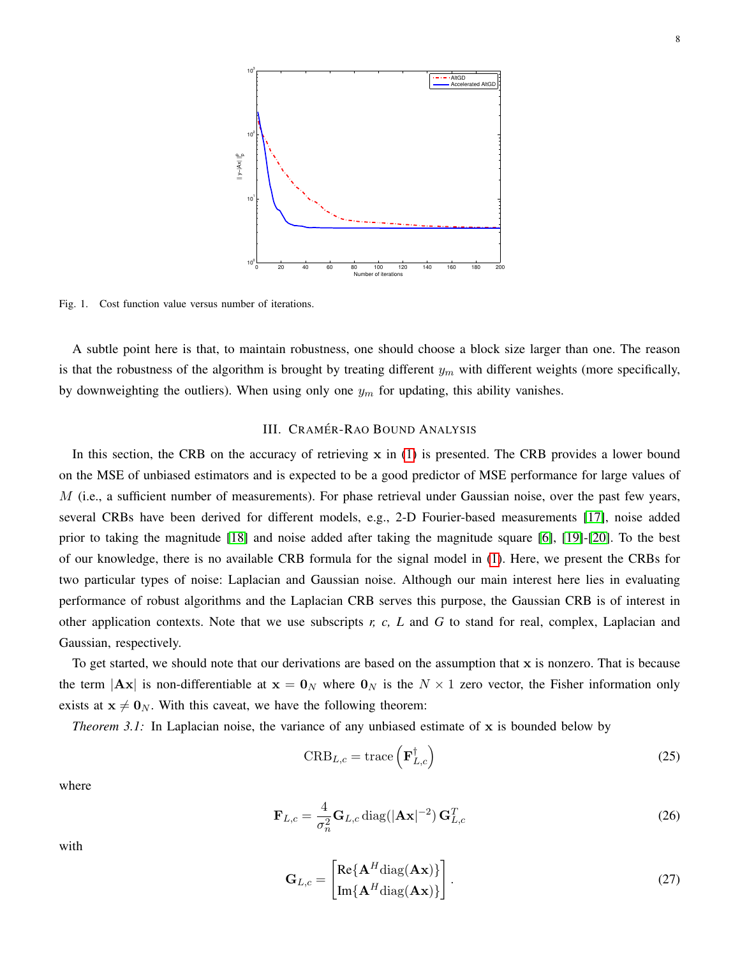

<span id="page-7-0"></span>Fig. 1. Cost function value versus number of iterations.

A subtle point here is that, to maintain robustness, one should choose a block size larger than one. The reason is that the robustness of the algorithm is brought by treating different  $y_m$  with different weights (more specifically, by downweighting the outliers). When using only one  $y_m$  for updating, this ability vanishes.

#### III. CRAMÉR-RAO BOUND ANALYSIS

In this section, the CRB on the accuracy of retrieving  $x$  in [\(1\)](#page-1-0) is presented. The CRB provides a lower bound on the MSE of unbiased estimators and is expected to be a good predictor of MSE performance for large values of  $M$  (i.e., a sufficient number of measurements). For phase retrieval under Gaussian noise, over the past few years, several CRBs have been derived for different models, e.g., 2-D Fourier-based measurements [\[17\]](#page-21-9), noise added prior to taking the magnitude [\[18\]](#page-21-18) and noise added after taking the magnitude square [\[6\]](#page-20-5), [\[19\]](#page-21-19)-[\[20\]](#page-21-20). To the best of our knowledge, there is no available CRB formula for the signal model in [\(1\)](#page-1-0). Here, we present the CRBs for two particular types of noise: Laplacian and Gaussian noise. Although our main interest here lies in evaluating performance of robust algorithms and the Laplacian CRB serves this purpose, the Gaussian CRB is of interest in other application contexts. Note that we use subscripts *r, c, L* and *G* to stand for real, complex, Laplacian and Gaussian, respectively.

To get started, we should note that our derivations are based on the assumption that x is nonzero. That is because the term  $|\mathbf{Ax}|$  is non-differentiable at  $\mathbf{x} = \mathbf{0}_N$  where  $\mathbf{0}_N$  is the  $N \times 1$  zero vector, the Fisher information only exists at  $x \neq 0_N$ . With this caveat, we have the following theorem:

*Theorem 3.1:* In Laplacian noise, the variance of any unbiased estimate of x is bounded below by

<span id="page-7-1"></span>
$$
CRB_{L,c} = \text{trace}\left(\mathbf{F}_{L,c}^{\dagger}\right) \tag{25}
$$

where

$$
\mathbf{F}_{L,c} = \frac{4}{\sigma_n^2} \mathbf{G}_{L,c} \operatorname{diag}(|\mathbf{A}\mathbf{x}|^{-2}) \mathbf{G}_{L,c}^T
$$
 (26)

with

$$
\mathbf{G}_{L,c} = \begin{bmatrix} \text{Re}\{\mathbf{A}^H \text{diag}(\mathbf{A}\mathbf{x})\} \\ \text{Im}\{\mathbf{A}^H \text{diag}(\mathbf{A}\mathbf{x})\} \end{bmatrix} .
$$
 (27)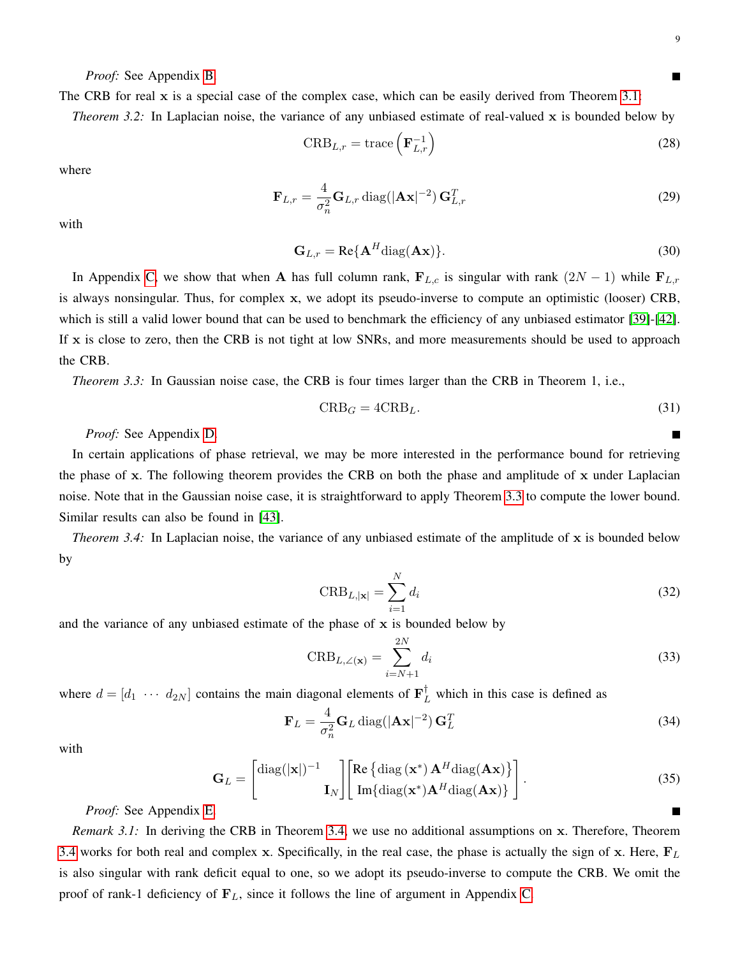П

*Proof:* See Appendix [B.](#page-16-0)

The CRB for real  $x$  is a special case of the complex case, which can be easily derived from Theorem [3.1:](#page-7-1) *Theorem 3.2:* In Laplacian noise, the variance of any unbiased estimate of real-valued x is bounded below by

$$
CRB_{L,r} = \text{trace}\left(\mathbf{F}_{L,r}^{-1}\right) \tag{28}
$$

where

$$
\mathbf{F}_{L,r} = \frac{4}{\sigma_n^2} \mathbf{G}_{L,r} \operatorname{diag}(|\mathbf{A}\mathbf{x}|^{-2}) \mathbf{G}_{L,r}^T
$$
 (29)

with

$$
\mathbf{G}_{L,r} = \text{Re}\{\mathbf{A}^H \text{diag}(\mathbf{A}\mathbf{x})\}.
$$
 (30)

In Appendix [C,](#page-18-0) we show that when A has full column rank,  $\mathbf{F}_{L,c}$  is singular with rank  $(2N - 1)$  while  $\mathbf{F}_{L,r}$ is always nonsingular. Thus, for complex x, we adopt its pseudo-inverse to compute an optimistic (looser) CRB, which is still a valid lower bound that can be used to benchmark the efficiency of any unbiased estimator [\[39\]](#page-22-0)-[\[42\]](#page-22-1). If x is close to zero, then the CRB is not tight at low SNRs, and more measurements should be used to approach the CRB.

<span id="page-8-0"></span>*Theorem 3.3:* In Gaussian noise case, the CRB is four times larger than the CRB in Theorem 1, i.e.,

$$
CRB_G = 4CRB_L. \t\t(31)
$$

*Proof:* See Appendix [D.](#page-18-1)

In certain applications of phase retrieval, we may be more interested in the performance bound for retrieving the phase of x. The following theorem provides the CRB on both the phase and amplitude of x under Laplacian noise. Note that in the Gaussian noise case, it is straightforward to apply Theorem [3.3](#page-8-0) to compute the lower bound. Similar results can also be found in [\[43\]](#page-22-2).

*Theorem 3.4:* In Laplacian noise, the variance of any unbiased estimate of the amplitude of x is bounded below by

<span id="page-8-1"></span>
$$
\text{CRB}_{L,|\mathbf{x}|} = \sum_{i=1}^{N} d_i \tag{32}
$$

and the variance of any unbiased estimate of the phase of  $x$  is bounded below by

$$
\text{CRB}_{L,\angle(\mathbf{x})} = \sum_{i=N+1}^{2N} d_i \tag{33}
$$

where  $d = [d_1 \cdots d_{2N}]$  contains the main diagonal elements of  $\mathbf{F}_L^{\dagger}$  which in this case is defined as

$$
\mathbf{F}_L = \frac{4}{\sigma_n^2} \mathbf{G}_L \operatorname{diag}(|\mathbf{A}\mathbf{x}|^{-2}) \mathbf{G}_L^T
$$
 (34)

with

$$
\mathbf{G}_{L} = \begin{bmatrix} \text{diag}(|\mathbf{x}|)^{-1} \\ \mathbf{I}_{N} \end{bmatrix} \begin{bmatrix} \text{Re} \{ \text{diag} (\mathbf{x}^{*}) \mathbf{A}^{H} \text{diag} (\mathbf{A} \mathbf{x}) \} \\ \text{Im} \{ \text{diag} (\mathbf{x}^{*}) \mathbf{A}^{H} \text{diag} (\mathbf{A} \mathbf{x}) \} \end{bmatrix} . \tag{35}
$$

*Proof:* See Appendix [E.](#page-19-0)

*Remark 3.1:* In deriving the CRB in Theorem [3.4,](#page-8-1) we use no additional assumptions on x. Therefore, Theorem [3.4](#page-8-1) works for both real and complex x. Specifically, in the real case, the phase is actually the sign of x. Here,  $F_L$ is also singular with rank deficit equal to one, so we adopt its pseudo-inverse to compute the CRB. We omit the proof of rank-1 deficiency of  $\mathbf{F}_L$ , since it follows the line of argument in Appendix [C.](#page-18-0)

П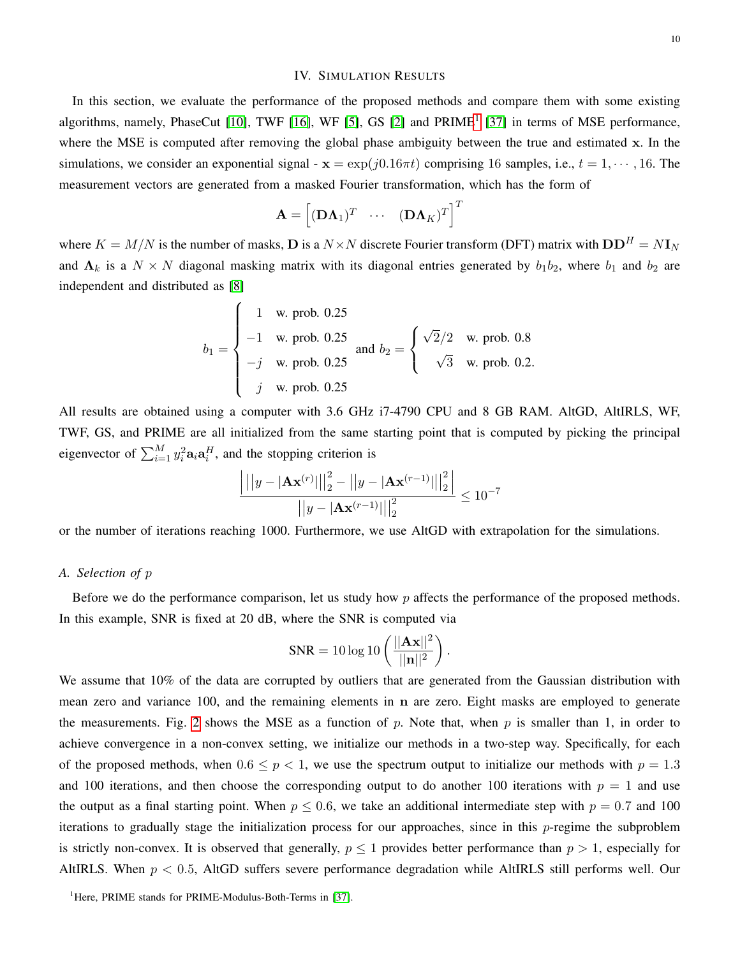#### IV. SIMULATION RESULTS

In this section, we evaluate the performance of the proposed methods and compare them with some existing algorithms, namely, PhaseCut [\[10\]](#page-21-8), TWF [\[16\]](#page-21-7), WF [\[5\]](#page-20-4), GS [\[2\]](#page-20-0) and PRIME<sup>[1](#page-9-0)</sup> [\[37\]](#page-22-3) in terms of MSE performance, where the MSE is computed after removing the global phase ambiguity between the true and estimated x. In the simulations, we consider an exponential signal -  $x = \exp(j0.16\pi t)$  comprising 16 samples, i.e.,  $t = 1, \dots, 16$ . The measurement vectors are generated from a masked Fourier transformation, which has the form of

$$
\mathbf{A} = \begin{bmatrix} (\mathbf{D}\mathbf{\Lambda}_1)^T & \cdots & (\mathbf{D}\mathbf{\Lambda}_K)^T \end{bmatrix}^T
$$

where  $K = M/N$  is the number of masks, **D** is a  $N \times N$  discrete Fourier transform (DFT) matrix with  $DD^H = N I_N$ and  $\Lambda_k$  is a  $N \times N$  diagonal masking matrix with its diagonal entries generated by  $b_1b_2$ , where  $b_1$  and  $b_2$  are independent and distributed as [\[8\]](#page-21-0)

$$
b_1 = \begin{cases} 1 & \text{w. prob. 0.25} \\ -1 & \text{w. prob. 0.25} \\ -j & \text{w. prob. 0.25} \\ j & \text{w. prob. 0.25} \end{cases} \text{ and } b_2 = \begin{cases} \sqrt{2}/2 & \text{w. prob. 0.8} \\ \sqrt{3} & \text{w. prob. 0.2.} \\ \end{cases}
$$

All results are obtained using a computer with 3.6 GHz i7-4790 CPU and 8 GB RAM. AltGD, AltIRLS, WF, TWF, GS, and PRIME are all initialized from the same starting point that is computed by picking the principal eigenvector of  $\sum_{i=1}^{M} y_i^2 \mathbf{a}_i \mathbf{a}_i^H$ , and the stopping criterion is

$$
\frac{\left| ||y - |A \mathbf{x}^{(r)}||_2^2 - ||y - |A \mathbf{x}^{(r-1)}||_2^2 \right|}{||y - |A \mathbf{x}^{(r-1)}||_2^2} \le 10^{-7}
$$

or the number of iterations reaching 1000. Furthermore, we use AltGD with extrapolation for the simulations.

# *A. Selection of* p

Before we do the performance comparison, let us study how p affects the performance of the proposed methods. In this example, SNR is fixed at 20 dB, where the SNR is computed via

$$
SNR = 10 \log 10 \left( \frac{||\mathbf{Ax}||^2}{||\mathbf{n}||^2} \right)
$$

.

We assume that 10% of the data are corrupted by outliers that are generated from the Gaussian distribution with mean zero and variance 100, and the remaining elements in n are zero. Eight masks are employed to generate the measurements. Fig. [2](#page-10-0) shows the MSE as a function of p. Note that, when p is smaller than 1, in order to achieve convergence in a non-convex setting, we initialize our methods in a two-step way. Specifically, for each of the proposed methods, when  $0.6 \le p < 1$ , we use the spectrum output to initialize our methods with  $p = 1.3$ and 100 iterations, and then choose the corresponding output to do another 100 iterations with  $p = 1$  and use the output as a final starting point. When  $p \le 0.6$ , we take an additional intermediate step with  $p = 0.7$  and 100 iterations to gradually stage the initialization process for our approaches, since in this  $p$ -regime the subproblem is strictly non-convex. It is observed that generally,  $p \le 1$  provides better performance than  $p > 1$ , especially for AltIRLS. When  $p < 0.5$ , AltGD suffers severe performance degradation while AltIRLS still performs well. Our

<span id="page-9-0"></span><sup>1</sup>Here, PRIME stands for PRIME-Modulus-Both-Terms in [\[37\]](#page-22-3).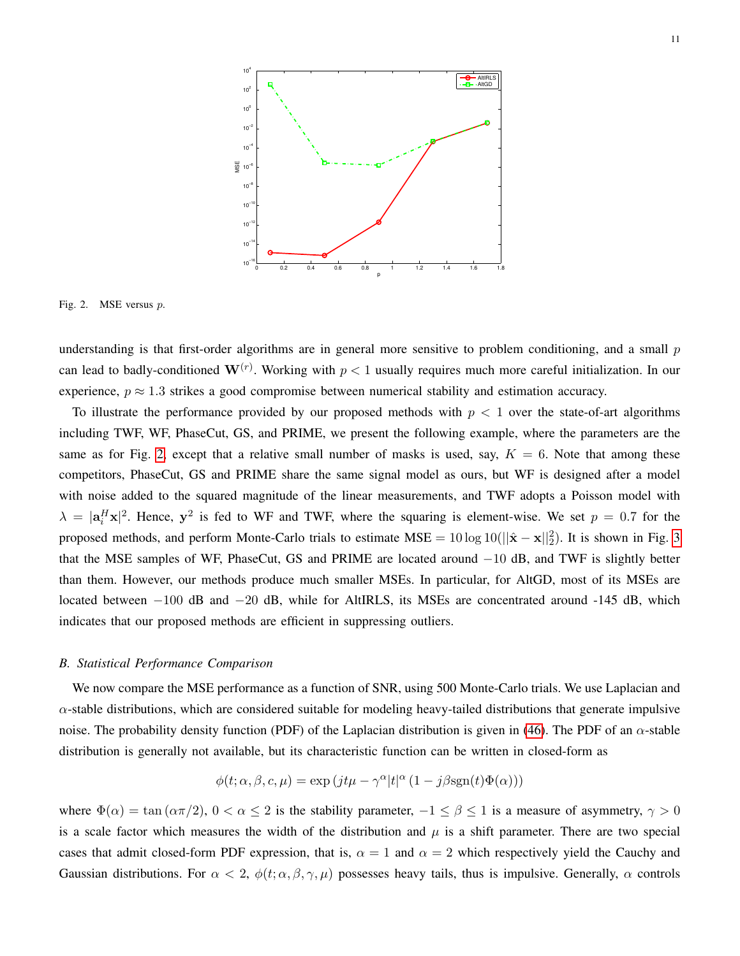

<span id="page-10-0"></span>Fig. 2. MSE versus p.

understanding is that first-order algorithms are in general more sensitive to problem conditioning, and a small  $p$ can lead to badly-conditioned  $\mathbf{W}^{(r)}$ . Working with  $p < 1$  usually requires much more careful initialization. In our experience,  $p \approx 1.3$  strikes a good compromise between numerical stability and estimation accuracy.

To illustrate the performance provided by our proposed methods with  $p < 1$  over the state-of-art algorithms including TWF, WF, PhaseCut, GS, and PRIME, we present the following example, where the parameters are the same as for Fig. [2,](#page-10-0) except that a relative small number of masks is used, say,  $K = 6$ . Note that among these competitors, PhaseCut, GS and PRIME share the same signal model as ours, but WF is designed after a model with noise added to the squared magnitude of the linear measurements, and TWF adopts a Poisson model with  $\lambda = |\mathbf{a}_i^H \mathbf{x}|^2$ . Hence,  $\mathbf{y}^2$  is fed to WF and TWF, where the squaring is element-wise. We set  $p = 0.7$  for the proposed methods, and perform Monte-Carlo trials to estimate  $MSE = 10 \log 10(||\hat{x} - x||_2^2)$ . It is shown in Fig. [3](#page-11-0) that the MSE samples of WF, PhaseCut, GS and PRIME are located around −10 dB, and TWF is slightly better than them. However, our methods produce much smaller MSEs. In particular, for AltGD, most of its MSEs are located between −100 dB and −20 dB, while for AltIRLS, its MSEs are concentrated around -145 dB, which indicates that our proposed methods are efficient in suppressing outliers.

# *B. Statistical Performance Comparison*

We now compare the MSE performance as a function of SNR, using 500 Monte-Carlo trials. We use Laplacian and  $\alpha$ -stable distributions, which are considered suitable for modeling heavy-tailed distributions that generate impulsive noise. The probability density function (PDF) of the Laplacian distribution is given in [\(46\)](#page-16-1). The PDF of an  $\alpha$ -stable distribution is generally not available, but its characteristic function can be written in closed-form as

$$
\phi(t; \alpha, \beta, c, \mu) = \exp\left(jt\mu - \gamma^{\alpha}|t|^{\alpha}\left(1 - j\beta \text{sgn}(t)\Phi(\alpha)\right)\right)
$$

where  $\Phi(\alpha) = \tan(\alpha \pi/2)$ ,  $0 < \alpha \le 2$  is the stability parameter,  $-1 \le \beta \le 1$  is a measure of asymmetry,  $\gamma > 0$ is a scale factor which measures the width of the distribution and  $\mu$  is a shift parameter. There are two special cases that admit closed-form PDF expression, that is,  $\alpha = 1$  and  $\alpha = 2$  which respectively yield the Cauchy and Gaussian distributions. For  $\alpha < 2$ ,  $\phi(t; \alpha, \beta, \gamma, \mu)$  possesses heavy tails, thus is impulsive. Generally,  $\alpha$  controls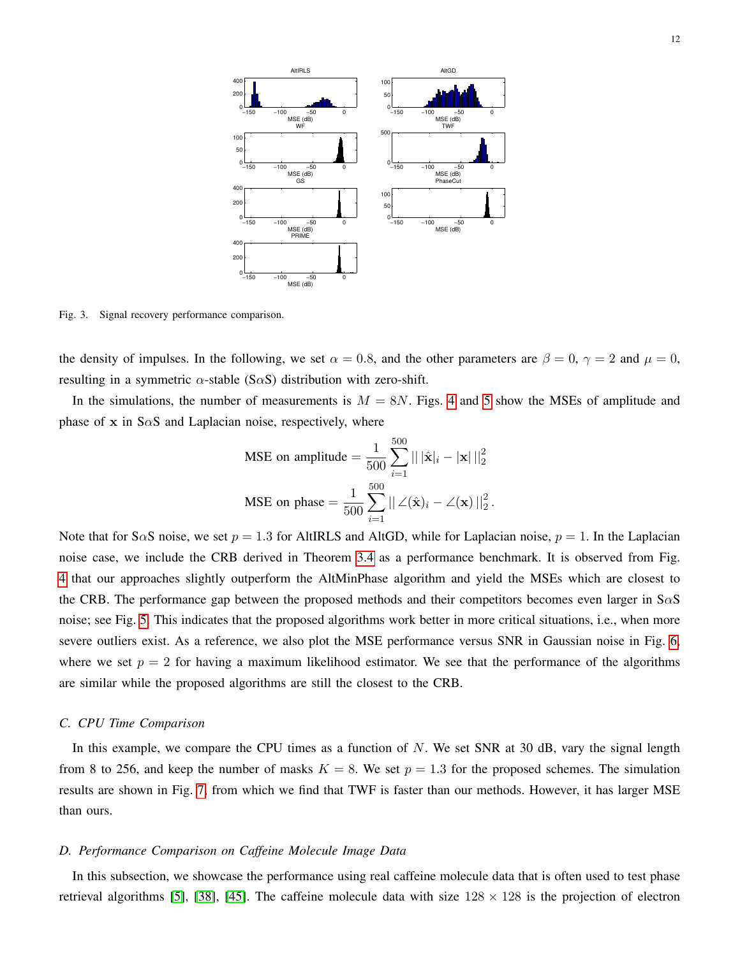

<span id="page-11-0"></span>Fig. 3. Signal recovery performance comparison.

the density of impulses. In the following, we set  $\alpha = 0.8$ , and the other parameters are  $\beta = 0$ ,  $\gamma = 2$  and  $\mu = 0$ , resulting in a symmetric  $\alpha$ -stable (S $\alpha$ S) distribution with zero-shift.

In the simulations, the number of measurements is  $M = 8N$ . Figs. [4](#page-12-0) and [5](#page-12-1) show the MSEs of amplitude and phase of x in S $\alpha$ S and Laplacian noise, respectively, where

MSE on amplitude 
$$
=\frac{1}{500} \sum_{i=1}^{500} ||\hat{\mathbf{x}}|_i - |\mathbf{x}||_2^2
$$
  
MSE on phase  $=\frac{1}{500} \sum_{i=1}^{500} ||\angle(\hat{\mathbf{x}})_i - \angle(\mathbf{x})||_2^2$ .

Note that for S $\alpha$ S noise, we set  $p = 1.3$  for AltIRLS and AltGD, while for Laplacian noise,  $p = 1$ . In the Laplacian noise case, we include the CRB derived in Theorem [3.4](#page-8-1) as a performance benchmark. It is observed from Fig. [4](#page-12-0) that our approaches slightly outperform the AltMinPhase algorithm and yield the MSEs which are closest to the CRB. The performance gap between the proposed methods and their competitors becomes even larger in  $S\alpha S$ noise; see Fig. [5.](#page-12-1) This indicates that the proposed algorithms work better in more critical situations, i.e., when more severe outliers exist. As a reference, we also plot the MSE performance versus SNR in Gaussian noise in Fig. [6,](#page-13-0) where we set  $p = 2$  for having a maximum likelihood estimator. We see that the performance of the algorithms are similar while the proposed algorithms are still the closest to the CRB.

#### *C. CPU Time Comparison*

In this example, we compare the CPU times as a function of  $N$ . We set SNR at 30 dB, vary the signal length from 8 to 256, and keep the number of masks  $K = 8$ . We set  $p = 1.3$  for the proposed schemes. The simulation results are shown in Fig. [7,](#page-13-1) from which we find that TWF is faster than our methods. However, it has larger MSE than ours.

#### *D. Performance Comparison on Caffeine Molecule Image Data*

In this subsection, we showcase the performance using real caffeine molecule data that is often used to test phase retrieval algorithms [\[5\]](#page-20-4), [\[38\]](#page-22-4), [\[45\]](#page-22-5). The caffeine molecule data with size  $128 \times 128$  is the projection of electron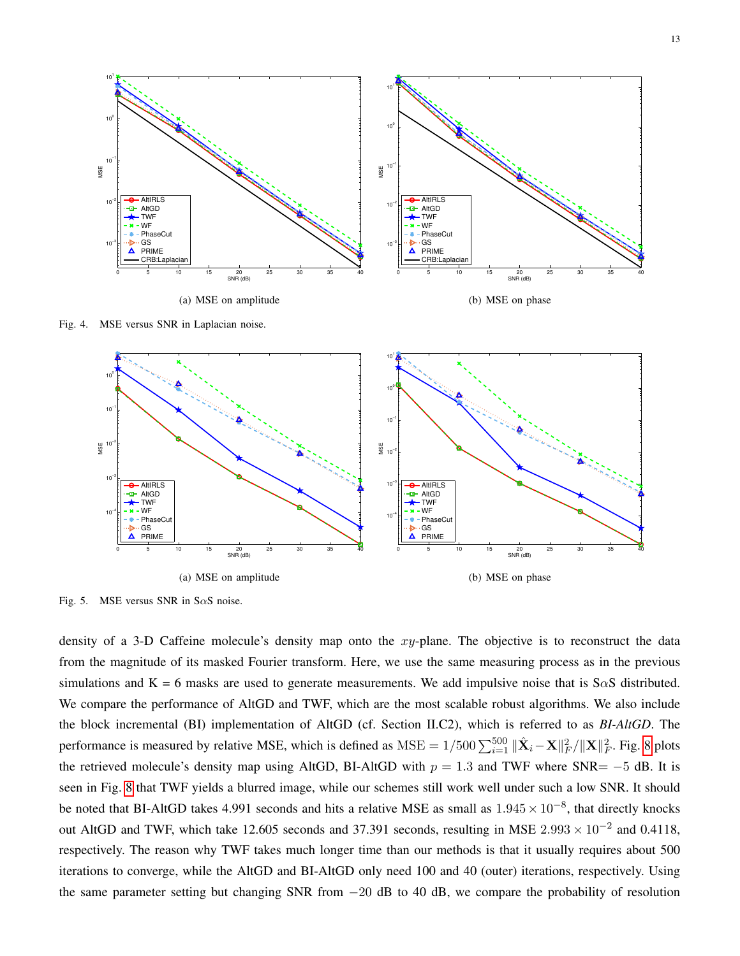

Fig. 4. MSE versus SNR in Laplacian noise.

<span id="page-12-0"></span>

<span id="page-12-1"></span>Fig. 5. MSE versus SNR in S $\alpha$ S noise.

density of a 3-D Caffeine molecule's density map onto the xy-plane. The objective is to reconstruct the data from the magnitude of its masked Fourier transform. Here, we use the same measuring process as in the previous simulations and K = 6 masks are used to generate measurements. We add impulsive noise that is S $\alpha$ S distributed. We compare the performance of AltGD and TWF, which are the most scalable robust algorithms. We also include the block incremental (BI) implementation of AltGD (cf. Section II.C2), which is referred to as *BI-AltGD*. The performance is measured by relative MSE, which is defined as  $MSE = 1/500 \sum_{i=1}^{500} ||\hat{\mathbf{X}}_i - \mathbf{X}||^2_F / ||\mathbf{X}||^2_F$ . Fig. [8](#page-14-1) plots the retrieved molecule's density map using AltGD, BI-AltGD with  $p = 1.3$  and TWF where SNR=  $-5$  dB. It is seen in Fig. [8](#page-14-1) that TWF yields a blurred image, while our schemes still work well under such a low SNR. It should be noted that BI-AltGD takes 4.991 seconds and hits a relative MSE as small as  $1.945 \times 10^{-8}$ , that directly knocks out AltGD and TWF, which take 12.605 seconds and 37.391 seconds, resulting in MSE  $2.993 \times 10^{-2}$  and 0.4118, respectively. The reason why TWF takes much longer time than our methods is that it usually requires about 500 iterations to converge, while the AltGD and BI-AltGD only need 100 and 40 (outer) iterations, respectively. Using the same parameter setting but changing SNR from −20 dB to 40 dB, we compare the probability of resolution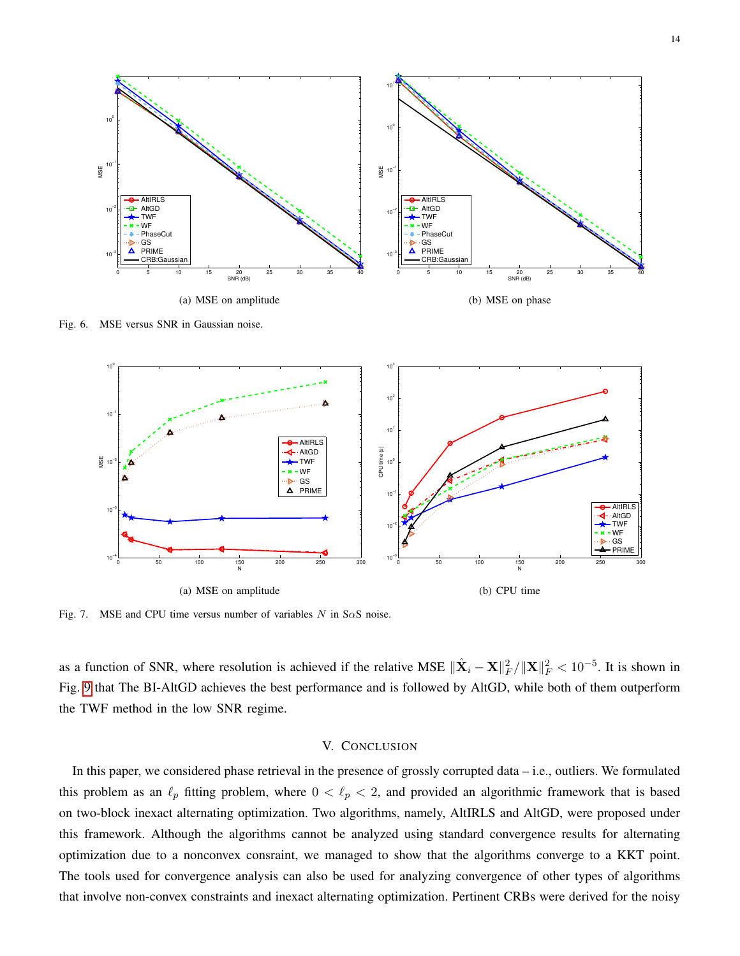

<span id="page-13-0"></span>Fig. 6. MSE versus SNR in Gaussian noise.



<span id="page-13-1"></span>Fig. 7. MSE and CPU time versus number of variables N in S $\alpha$ S noise.

as a function of SNR, where resolution is achieved if the relative MSE  $\|\hat{\mathbf{X}}_i - \mathbf{X}\|_F^2 / \|\mathbf{X}\|_F^2 < 10^{-5}$ . It is shown in Fig. [9](#page-14-2) that The BI-AltGD achieves the best performance and is followed by AltGD, while both of them outperform the TWF method in the low SNR regime.

# V. CONCLUSION

In this paper, we considered phase retrieval in the presence of grossly corrupted data – i.e., outliers. We formulated this problem as an  $\ell_p$  fitting problem, where  $0 < \ell_p < 2$ , and provided an algorithmic framework that is based on two-block inexact alternating optimization. Two algorithms, namely, AltIRLS and AltGD, were proposed under this framework. Although the algorithms cannot be analyzed using standard convergence results for alternating optimization due to a nonconvex consraint, we managed to show that the algorithms converge to a KKT point. The tools used for convergence analysis can also be used for analyzing convergence of other types of algorithms that involve non-convex constraints and inexact alternating optimization. Pertinent CRBs were derived for the noisy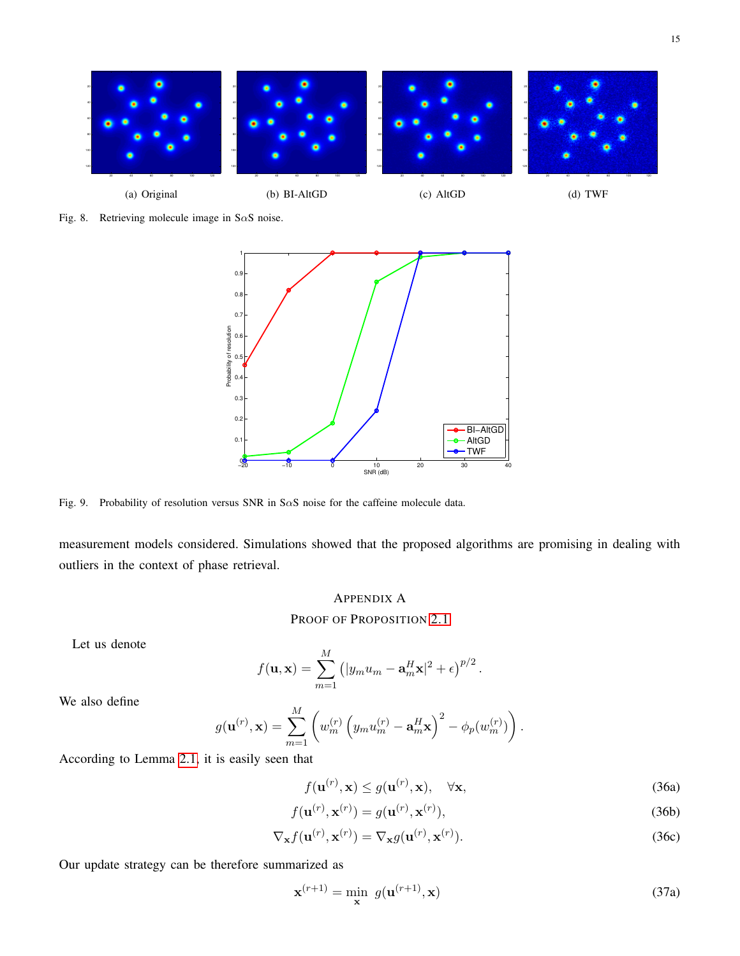

<span id="page-14-1"></span>Fig. 8. Retrieving molecule image in S $\alpha$ S noise.



<span id="page-14-2"></span>Fig. 9. Probability of resolution versus SNR in S $\alpha$ S noise for the caffeine molecule data.

measurement models considered. Simulations showed that the proposed algorithms are promising in dealing with outliers in the context of phase retrieval.

# <span id="page-14-0"></span>APPENDIX A

PROOF OF PROPOSITION [2.1](#page-4-1)

Let us denote

$$
f(\mathbf{u}, \mathbf{x}) = \sum_{m=1}^{M} (|y_m u_m - \mathbf{a}_m^H \mathbf{x}|^2 + \epsilon)^{p/2}.
$$

We also define

$$
g(\mathbf{u}^{(r)}, \mathbf{x}) = \sum_{m=1}^{M} \left( w_m^{(r)} \left( y_m u_m^{(r)} - \mathbf{a}_m^H \mathbf{x} \right)^2 - \phi_p(w_m^{(r)}) \right).
$$

According to Lemma [2.1,](#page-3-0) it is easily seen that

<span id="page-14-6"></span><span id="page-14-5"></span><span id="page-14-4"></span><span id="page-14-3"></span>
$$
f(\mathbf{u}^{(r)}, \mathbf{x}) \le g(\mathbf{u}^{(r)}, \mathbf{x}), \quad \forall \mathbf{x},
$$
\n(36a)

$$
f(\mathbf{u}^{(r)}, \mathbf{x}^{(r)}) = g(\mathbf{u}^{(r)}, \mathbf{x}^{(r)}),
$$
\n(36b)

$$
\nabla_{\mathbf{x}} f(\mathbf{u}^{(r)}, \mathbf{x}^{(r)}) = \nabla_{\mathbf{x}} g(\mathbf{u}^{(r)}, \mathbf{x}^{(r)}).
$$
 (36c)

Our update strategy can be therefore summarized as

$$
\mathbf{x}^{(r+1)} = \min_{\mathbf{x}} g(\mathbf{u}^{(r+1)}, \mathbf{x})
$$
\n(37a)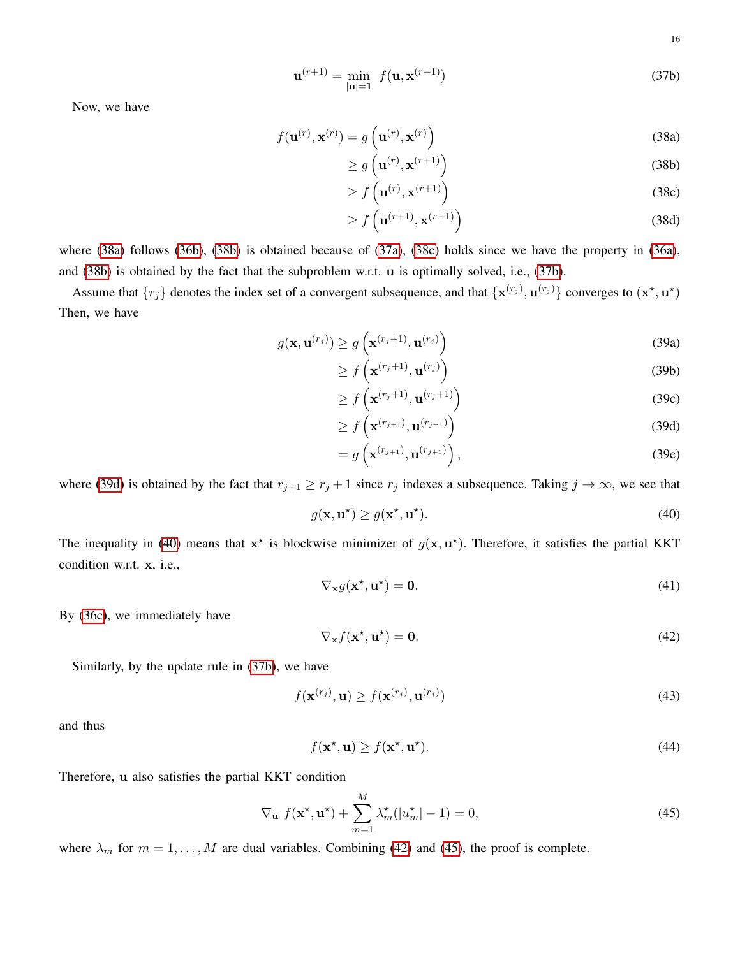<span id="page-15-3"></span><span id="page-15-2"></span><span id="page-15-1"></span><span id="page-15-0"></span>16

$$
\mathbf{u}^{(r+1)} = \min_{|\mathbf{u}|=1} f(\mathbf{u}, \mathbf{x}^{(r+1)})
$$
(37b)

Now, we have

$$
f(\mathbf{u}^{(r)}, \mathbf{x}^{(r)}) = g\left(\mathbf{u}^{(r)}, \mathbf{x}^{(r)}\right)
$$
 (38a)

$$
\geq g\left(\mathbf{u}^{(r)}, \mathbf{x}^{(r+1)}\right) \tag{38b}
$$

$$
\geq f\left(\mathbf{u}^{(r)}, \mathbf{x}^{(r+1)}\right) \tag{38c}
$$

$$
\geq f\left(\mathbf{u}^{(r+1)}, \mathbf{x}^{(r+1)}\right) \tag{38d}
$$

where [\(38a\)](#page-15-0) follows [\(36b\)](#page-14-3), [\(38b\)](#page-15-1) is obtained because of [\(37a\)](#page-14-4), [\(38c\)](#page-15-2) holds since we have the property in [\(36a\)](#page-14-5), and [\(38b\)](#page-15-1) is obtained by the fact that the subproblem w.r.t. u is optimally solved, i.e., [\(37b\)](#page-15-3).

Assume that  $\{r_j\}$  denotes the index set of a convergent subsequence, and that  $\{x^{(r_j)}, u^{(r_j)}\}$  converges to  $(x^*, u^*)$ Then, we have

$$
g(\mathbf{x}, \mathbf{u}^{(r_j)}) \ge g\left(\mathbf{x}^{(r_j+1)}, \mathbf{u}^{(r_j)}\right)
$$
\n(39a)

$$
\geq f\left(\mathbf{x}^{(r_j+1)}, \mathbf{u}^{(r_j)}\right) \tag{39b}
$$

$$
\geq f\left(\mathbf{x}^{(r_j+1)}, \mathbf{u}^{(r_j+1)}\right) \tag{39c}
$$

<span id="page-15-4"></span>
$$
\geq f\left(\mathbf{x}^{(r_{j+1})},\mathbf{u}^{(r_{j+1})}\right) \tag{39d}
$$

$$
= g\left(\mathbf{x}^{(r_{j+1})}, \mathbf{u}^{(r_{j+1})}\right),\tag{39e}
$$

where [\(39d\)](#page-15-4) is obtained by the fact that  $r_{j+1} \ge r_j + 1$  since  $r_j$  indexes a subsequence. Taking  $j \to \infty$ , we see that

<span id="page-15-5"></span>
$$
g(\mathbf{x}, \mathbf{u}^{\star}) \ge g(\mathbf{x}^{\star}, \mathbf{u}^{\star}).
$$
\n(40)

The inequality in [\(40\)](#page-15-5) means that  $x^*$  is blockwise minimizer of  $g(x, u^*)$ . Therefore, it satisfies the partial KKT condition w.r.t. x, i.e.,

$$
\nabla_{\mathbf{x}} g(\mathbf{x}^*, \mathbf{u}^*) = \mathbf{0}.\tag{41}
$$

By [\(36c\)](#page-14-6), we immediately have

<span id="page-15-6"></span>
$$
\nabla_{\mathbf{x}} f(\mathbf{x}^*, \mathbf{u}^*) = \mathbf{0}.\tag{42}
$$

Similarly, by the update rule in [\(37b\)](#page-15-3), we have

$$
f(\mathbf{x}^{(r_j)}, \mathbf{u}) \ge f(\mathbf{x}^{(r_j)}, \mathbf{u}^{(r_j)})
$$
\n(43)

and thus

$$
f(\mathbf{x}^*, \mathbf{u}) \ge f(\mathbf{x}^*, \mathbf{u}^*). \tag{44}
$$

Therefore, u also satisfies the partial KKT condition

<span id="page-15-7"></span>
$$
\nabla_{\mathbf{u}} f(\mathbf{x}^*, \mathbf{u}^*) + \sum_{m=1}^{M} \lambda_m^* (|u_m^*| - 1) = 0,
$$
\n(45)

where  $\lambda_m$  for  $m = 1, ..., M$  are dual variables. Combining [\(42\)](#page-15-6) and [\(45\)](#page-15-7), the proof is complete.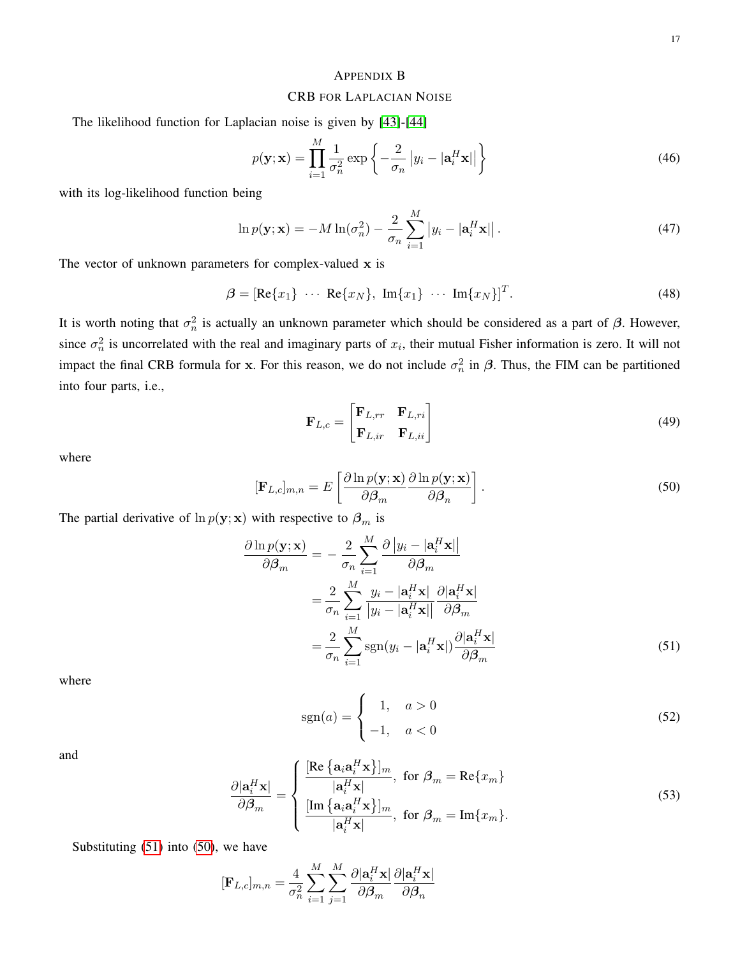#### <span id="page-16-1"></span><span id="page-16-0"></span>APPENDIX B

# CRB FOR LAPLACIAN NOISE

The likelihood function for Laplacian noise is given by [\[43\]](#page-22-2)-[\[44\]](#page-22-6)

$$
p(\mathbf{y}; \mathbf{x}) = \prod_{i=1}^{M} \frac{1}{\sigma_n^2} \exp\left\{-\frac{2}{\sigma_n} |y_i - |\mathbf{a}_i^H \mathbf{x}||\right\}
$$
(46)

with its log-likelihood function being

$$
\ln p(\mathbf{y}; \mathbf{x}) = -M \ln(\sigma_n^2) - \frac{2}{\sigma_n} \sum_{i=1}^M |y_i - |\mathbf{a}_i^H \mathbf{x}||. \tag{47}
$$

The vector of unknown parameters for complex-valued  $x$  is

$$
\boldsymbol{\beta} = [\text{Re}\{x_1\} \cdots \text{Re}\{x_N\}, \text{Im}\{x_1\} \cdots \text{Im}\{x_N\}]^T. \tag{48}
$$

It is worth noting that  $\sigma_n^2$  is actually an unknown parameter which should be considered as a part of  $\beta$ . However, since  $\sigma_n^2$  is uncorrelated with the real and imaginary parts of  $x_i$ , their mutual Fisher information is zero. It will not impact the final CRB formula for x. For this reason, we do not include  $\sigma_n^2$  in  $\beta$ . Thus, the FIM can be partitioned into four parts, i.e.,

<span id="page-16-3"></span>
$$
\mathbf{F}_{L,c} = \begin{bmatrix} \mathbf{F}_{L,rr} & \mathbf{F}_{L,ri} \\ \mathbf{F}_{L,ir} & \mathbf{F}_{L,ii} \end{bmatrix}
$$
 (49)

where

$$
[\mathbf{F}_{L,c}]_{m,n} = E\left[\frac{\partial \ln p(\mathbf{y}; \mathbf{x})}{\partial \beta_m} \frac{\partial \ln p(\mathbf{y}; \mathbf{x})}{\partial \beta_n}\right].
$$
\n(50)

The partial derivative of  $\ln p(\mathbf{y}; \mathbf{x})$  with respective to  $\beta_m$  is

$$
\frac{\partial \ln p(\mathbf{y}; \mathbf{x})}{\partial \beta_m} = -\frac{2}{\sigma_n} \sum_{i=1}^{M} \frac{\partial |y_i - |\mathbf{a}_i^H \mathbf{x}|}{\partial \beta_m}
$$

$$
= \frac{2}{\sigma_n} \sum_{i=1}^{M} \frac{y_i - |\mathbf{a}_i^H \mathbf{x}|}{|y_i - |\mathbf{a}_i^H \mathbf{x}|} \frac{\partial |\mathbf{a}_i^H \mathbf{x}|}{\partial \beta_m}
$$

$$
= \frac{2}{\sigma_n} \sum_{i=1}^{M} \text{sgn}(y_i - |\mathbf{a}_i^H \mathbf{x}|) \frac{\partial |\mathbf{a}_i^H \mathbf{x}|}{\partial \beta_m}
$$
(51)

where

<span id="page-16-2"></span>
$$
\operatorname{sgn}(a) = \begin{cases} 1, & a > 0 \\ -1, & a < 0 \end{cases} \tag{52}
$$

and

<span id="page-16-4"></span>
$$
\frac{\partial |\mathbf{a}_i^H \mathbf{x}|}{\partial \beta_m} = \begin{cases} \frac{[\text{Re}\left\{\mathbf{a}_i \mathbf{a}_i^H \mathbf{x}\right\}]_m}{|\mathbf{a}_i^H \mathbf{x}|}, \text{ for } \beta_m = \text{Re}\{x_m\} \\ \frac{[\text{Im}\left\{\mathbf{a}_i \mathbf{a}_i^H \mathbf{x}\right\}]_m}{|\mathbf{a}_i^H \mathbf{x}|}, \text{ for } \beta_m = \text{Im}\{x_m\}. \end{cases}
$$
(53)

Substituting  $(51)$  into  $(50)$ , we have

$$
[\mathbf{F}_{L,c}]_{m,n} = \frac{4}{\sigma_n^2} \sum_{i=1}^{M} \sum_{j=1}^{M} \frac{\partial |\mathbf{a}_i^H \mathbf{x}|}{\partial \beta_m} \frac{\partial |\mathbf{a}_i^H \mathbf{x}|}{\partial \beta_n}
$$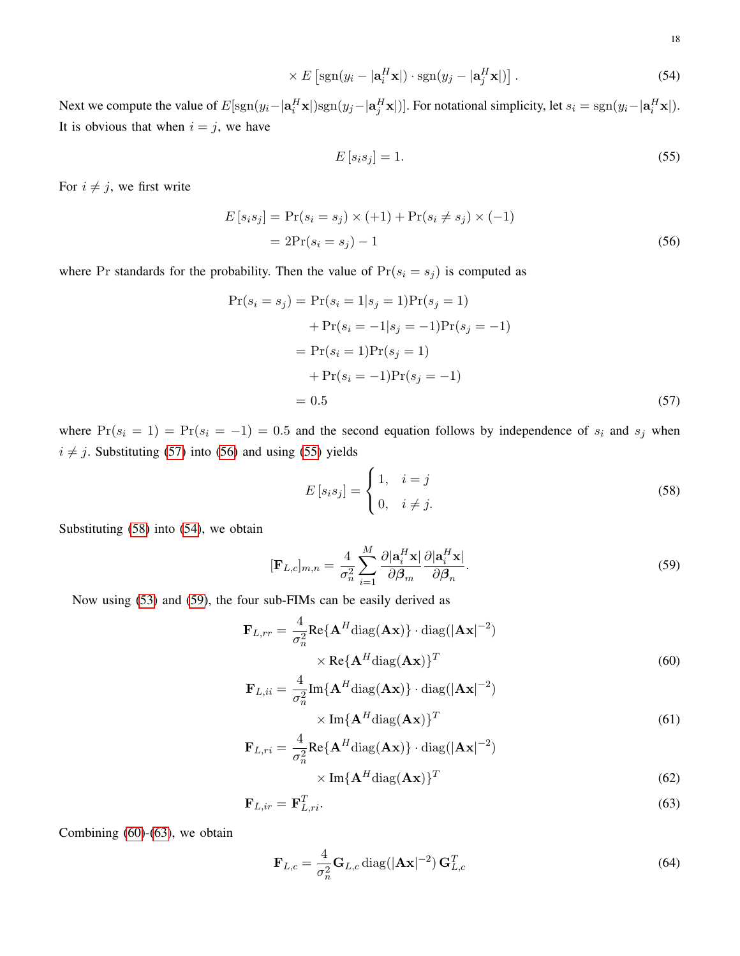$$
\times E\left[\text{sgn}(y_i - |\mathbf{a}_i^H \mathbf{x}|) \cdot \text{sgn}(y_j - |\mathbf{a}_j^H \mathbf{x}|)\right].\tag{54}
$$

Next we compute the value of  $E[\text{sgn}(y_i-|\mathbf{a}_i^H\mathbf{x}|)\text{sgn}(y_j-|\mathbf{a}_j^H\mathbf{x}|)]$ . For notational simplicity, let  $s_i = \text{sgn}(y_i-|\mathbf{a}_i^H\mathbf{x}|)$ . It is obvious that when  $i = j$ , we have

<span id="page-17-4"></span><span id="page-17-2"></span><span id="page-17-1"></span>
$$
E\left[s_i s_j\right] = 1.\tag{55}
$$

For  $i \neq j$ , we first write

$$
E[s_i s_j] = Pr(s_i = s_j) \times (+1) + Pr(s_i \neq s_j) \times (-1)
$$
  
= 2Pr(s\_i = s\_j) - 1 (56)

where Pr standards for the probability. Then the value of  $Pr(s_i = s_j)$  is computed as

$$
Pr(s_i = s_j) = Pr(s_i = 1|s_j = 1)Pr(s_j = 1)
$$
  
+ 
$$
Pr(s_i = -1|s_j = -1)Pr(s_j = -1)
$$
  
= 
$$
Pr(s_i = 1)Pr(s_j = 1)
$$
  
+ 
$$
Pr(s_i = -1)Pr(s_j = -1)
$$
  
= 0.5 (57)

where  $Pr(s_i = 1) = Pr(s_i = -1) = 0.5$  and the second equation follows by independence of  $s_i$  and  $s_j$  when  $i \neq j$ . Substituting [\(57\)](#page-17-0) into [\(56\)](#page-17-1) and using [\(55\)](#page-17-2) yields

<span id="page-17-6"></span><span id="page-17-5"></span><span id="page-17-3"></span><span id="page-17-0"></span>
$$
E\left[s_i s_j\right] = \begin{cases} 1, & i = j \\ 0, & i \neq j. \end{cases} \tag{58}
$$

Substituting [\(58\)](#page-17-3) into [\(54\)](#page-17-4), we obtain

$$
[\mathbf{F}_{L,c}]_{m,n} = \frac{4}{\sigma_n^2} \sum_{i=1}^{M} \frac{\partial |\mathbf{a}_i^H \mathbf{x}|}{\partial \beta_m} \frac{\partial |\mathbf{a}_i^H \mathbf{x}|}{\partial \beta_n}.
$$
\n(59)

Now using [\(53\)](#page-16-4) and [\(59\)](#page-17-5), the four sub-FIMs can be easily derived as

$$
\mathbf{F}_{L,rr} = \frac{4}{\sigma_n^2} \text{Re}\{\mathbf{A}^H \text{diag}(\mathbf{A}\mathbf{x})\} \cdot \text{diag}(|\mathbf{A}\mathbf{x}|^{-2})
$$

$$
\times \text{Re}\{\mathbf{A}^H \text{diag}(\mathbf{A}\mathbf{x})\}^T
$$
(60)

$$
\mathbf{F}_{L,ii} = \frac{4}{\sigma_n^2} \text{Im}\{\mathbf{A}^H \text{diag}(\mathbf{A}\mathbf{x})\} \cdot \text{diag}(|\mathbf{A}\mathbf{x}|^{-2})
$$

$$
\times \text{Im}\{\mathbf{A}^H \text{diag}(\mathbf{A}\mathbf{x})\}^T
$$
(61)

$$
\mathbf{F}_{L,ri} = \frac{4}{\sigma_n^2} \text{Re}\{\mathbf{A}^H \text{diag}(\mathbf{A}\mathbf{x})\} \cdot \text{diag}(|\mathbf{A}\mathbf{x}|^{-2})
$$

$$
\times \text{Im}\{\mathbf{A}^H \text{diag}(\mathbf{A}\mathbf{x})\}^T
$$
(62)

$$
\mathbf{F}_{L,ir} = \mathbf{F}_{L,ri}^T.
$$
\n(63)

Combining  $(60)$ - $(63)$ , we obtain

<span id="page-17-7"></span>
$$
\mathbf{F}_{L,c} = \frac{4}{\sigma_n^2} \mathbf{G}_{L,c} \operatorname{diag}(|\mathbf{A}\mathbf{x}|^{-2}) \mathbf{G}_{L,c}^T
$$
 (64)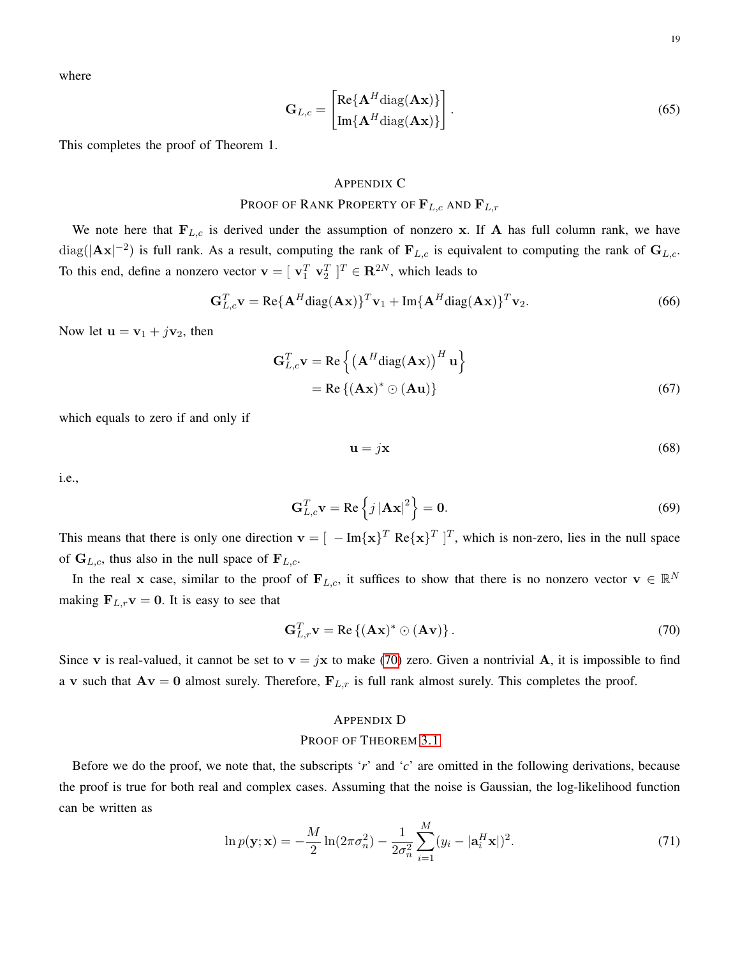where

$$
\mathbf{G}_{L,c} = \begin{bmatrix} \text{Re}\{\mathbf{A}^H \text{diag}(\mathbf{A}\mathbf{x})\} \\ \text{Im}\{\mathbf{A}^H \text{diag}(\mathbf{A}\mathbf{x})\} \end{bmatrix} . \tag{65}
$$

This completes the proof of Theorem 1.

### <span id="page-18-0"></span>APPENDIX C

# PROOF OF RANK PROPERTY OF  $\mathbf{F}_{L,c}$  and  $\mathbf{F}_{L,r}$

We note here that  $F_{L,c}$  is derived under the assumption of nonzero x. If A has full column rank, we have  $\text{diag}(|\mathbf{A} \mathbf{x}|^{-2})$  is full rank. As a result, computing the rank of  $\mathbf{F}_{L,c}$  is equivalent to computing the rank of  $\mathbf{G}_{L,c}$ . To this end, define a nonzero vector  $\mathbf{v} = [\mathbf{v}_1^T \ \mathbf{v}_2^T]^T \in \mathbf{R}^{2N}$ , which leads to

$$
\mathbf{G}_{L,c}^T \mathbf{v} = \text{Re}\{\mathbf{A}^H \text{diag}(\mathbf{A}\mathbf{x})\}^T \mathbf{v}_1 + \text{Im}\{\mathbf{A}^H \text{diag}(\mathbf{A}\mathbf{x})\}^T \mathbf{v}_2.
$$
 (66)

Now let  $\mathbf{u} = \mathbf{v}_1 + j\mathbf{v}_2$ , then

$$
\mathbf{G}_{L,c}^T \mathbf{v} = \text{Re}\left\{ \left( \mathbf{A}^H \text{diag}(\mathbf{A}\mathbf{x}) \right)^H \mathbf{u} \right\}
$$
  
= Re\left\{ (\mathbf{A}\mathbf{x})^\* \odot (\mathbf{A}\mathbf{u}) \right\} (67)

which equals to zero if and only if

<span id="page-18-2"></span>
$$
\mathbf{u} = j\mathbf{x} \tag{68}
$$

i.e.,

$$
\mathbf{G}_{L,c}^T \mathbf{v} = \text{Re}\left\{j \left|\mathbf{A}\mathbf{x}\right|^2\right\} = \mathbf{0}.\tag{69}
$$

This means that there is only one direction  $\mathbf{v} = [ -Im\{\mathbf{x}\}^T \operatorname{Re}\{\mathbf{x}\}^T ]^T$ , which is non-zero, lies in the null space of  $G_{L,c}$ , thus also in the null space of  $F_{L,c}$ .

In the real x case, similar to the proof of  $F_{L,c}$ , it suffices to show that there is no nonzero vector  $v \in \mathbb{R}^N$ making  $\mathbf{F}_{L,r}\mathbf{v} = \mathbf{0}$ . It is easy to see that

$$
\mathbf{G}_{L,r}^T \mathbf{v} = \text{Re}\left\{ (\mathbf{A}\mathbf{x})^* \odot (\mathbf{A}\mathbf{v}) \right\}.
$$
 (70)

Since v is real-valued, it cannot be set to  $v = jx$  to make [\(70\)](#page-18-2) zero. Given a nontrivial A, it is impossible to find a v such that  $Av = 0$  almost surely. Therefore,  $F_{L,r}$  is full rank almost surely. This completes the proof.

# <span id="page-18-3"></span><span id="page-18-1"></span>APPENDIX D

# PROOF OF THEOREM [3.1](#page-7-1)

Before we do the proof, we note that, the subscripts '*r*' and '*c*' are omitted in the following derivations, because the proof is true for both real and complex cases. Assuming that the noise is Gaussian, the log-likelihood function can be written as

$$
\ln p(\mathbf{y}; \mathbf{x}) = -\frac{M}{2} \ln(2\pi\sigma_n^2) - \frac{1}{2\sigma_n^2} \sum_{i=1}^M (y_i - |\mathbf{a}_i^H \mathbf{x}|)^2.
$$
 (71)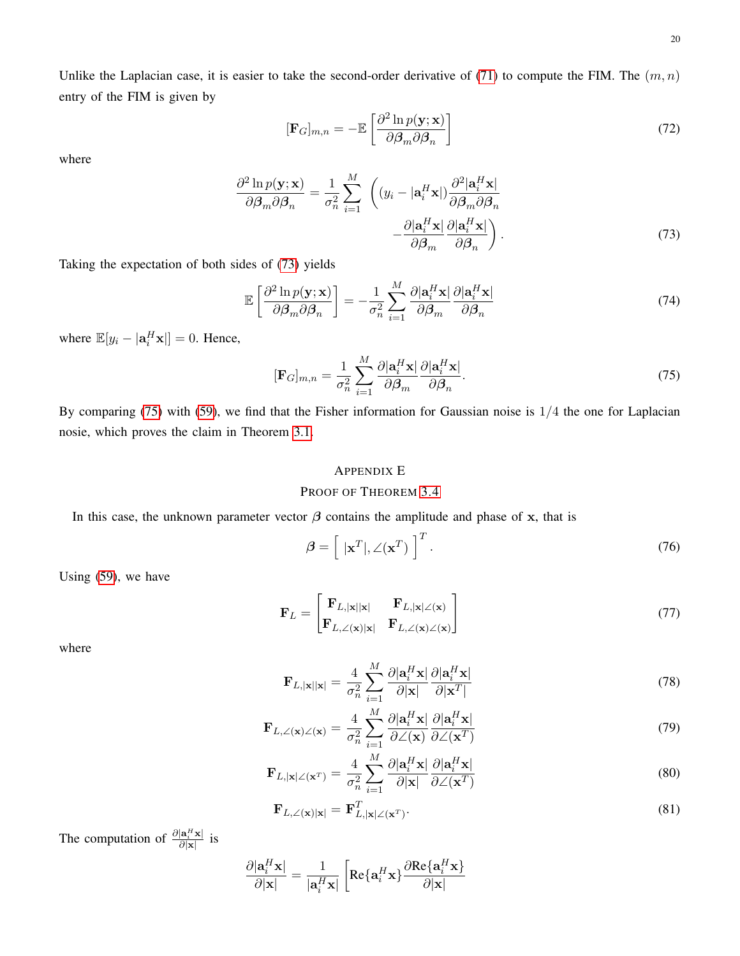<span id="page-19-1"></span>
$$
[\mathbf{F}_G]_{m,n} = -\mathbb{E}\left[\frac{\partial^2 \ln p(\mathbf{y}; \mathbf{x})}{\partial \boldsymbol{\beta}_m \partial \boldsymbol{\beta}_n}\right]
$$
(72)

where

$$
\frac{\partial^2 \ln p(\mathbf{y}; \mathbf{x})}{\partial \beta_m \partial \beta_n} = \frac{1}{\sigma_n^2} \sum_{i=1}^M \left( (y_i - |\mathbf{a}_i^H \mathbf{x}|) \frac{\partial^2 |\mathbf{a}_i^H \mathbf{x}|}{\partial \beta_m \partial \beta_n} - \frac{\partial |\mathbf{a}_i^H \mathbf{x}|}{\partial \beta_m} \frac{\partial |\mathbf{a}_i^H \mathbf{x}|}{\partial \beta_n} \right).
$$
\n(73)

Taking the expectation of both sides of [\(73\)](#page-19-1) yields

$$
\mathbb{E}\left[\frac{\partial^2 \ln p(\mathbf{y}; \mathbf{x})}{\partial \beta_m \partial \beta_n}\right] = -\frac{1}{\sigma_n^2} \sum_{i=1}^M \frac{\partial |\mathbf{a}_i^H \mathbf{x}|}{\partial \beta_m} \frac{\partial |\mathbf{a}_i^H \mathbf{x}|}{\partial \beta_n}
$$
(74)

where  $\mathbb{E}[y_i - |\mathbf{a}_i^H \mathbf{x}]] = 0$ . Hence,

$$
[\mathbf{F}_G]_{m,n} = \frac{1}{\sigma_n^2} \sum_{i=1}^M \frac{\partial |\mathbf{a}_i^H \mathbf{x}|}{\partial \beta_m} \frac{\partial |\mathbf{a}_i^H \mathbf{x}|}{\partial \beta_n}.
$$
\n(75)

By comparing [\(75\)](#page-19-2) with [\(59\)](#page-17-5), we find that the Fisher information for Gaussian noise is 1/4 the one for Laplacian nosie, which proves the claim in Theorem [3.1.](#page-7-1)

# <span id="page-19-2"></span><span id="page-19-0"></span>APPENDIX E

# PROOF OF THEOREM [3.4](#page-8-1)

In this case, the unknown parameter vector  $\beta$  contains the amplitude and phase of x, that is

<span id="page-19-3"></span>
$$
\beta = \left[ \|\mathbf{x}^T\|, \angle(\mathbf{x}^T) \right]^T. \tag{76}
$$

Using [\(59\)](#page-17-5), we have

$$
\mathbf{F}_L = \begin{bmatrix} \mathbf{F}_{L,|\mathbf{x}||\mathbf{x}|} & \mathbf{F}_{L,|\mathbf{x}|\angle(\mathbf{x})} \\ \mathbf{F}_{L,\angle(\mathbf{x})|\mathbf{x}|} & \mathbf{F}_{L,\angle(\mathbf{x})\angle(\mathbf{x})} \end{bmatrix} \tag{77}
$$

where

$$
\mathbf{F}_{L,|\mathbf{x}||\mathbf{x}|} = \frac{4}{\sigma_n^2} \sum_{i=1}^{M} \frac{\partial |\mathbf{a}_i^H \mathbf{x}|}{\partial |\mathbf{x}|} \frac{\partial |\mathbf{a}_i^H \mathbf{x}|}{\partial |\mathbf{x}^T|}
$$
(78)

$$
\mathbf{F}_{L,\angle(\mathbf{x})\angle(\mathbf{x})} = \frac{4}{\sigma_n^2} \sum_{i=1}^{M} \frac{\partial |\mathbf{a}_i^H \mathbf{x}|}{\partial \angle(\mathbf{x})} \frac{\partial |\mathbf{a}_i^H \mathbf{x}|}{\partial \angle(\mathbf{x}^T)}
$$
(79)

$$
\mathbf{F}_{L,|\mathbf{x}| \angle (\mathbf{x}^T)} = \frac{4}{\sigma_n^2} \sum_{i=1}^M \frac{\partial |\mathbf{a}_i^H \mathbf{x}|}{\partial |\mathbf{x}|} \frac{\partial |\mathbf{a}_i^H \mathbf{x}|}{\partial \angle (\mathbf{x}^T)}
$$
(80)

<span id="page-19-4"></span>
$$
\mathbf{F}_{L,\angle(\mathbf{x})|\mathbf{x}|} = \mathbf{F}_{L,|\mathbf{x}|\angle(\mathbf{x}^T)}^T.
$$
\n(81)

The computation of  $\frac{\partial |\mathbf{a}_i^H \mathbf{x}|}{\partial |\mathbf{x}|}$  is

$$
\frac{\partial |\mathbf{a}_i^H \mathbf{x}|}{\partial |\mathbf{x}|} = \frac{1}{|\mathbf{a}_i^H \mathbf{x}|} \left[ \text{Re}\{\mathbf{a}_i^H \mathbf{x}\} \frac{\partial \text{Re}\{\mathbf{a}_i^H \mathbf{x}\}}{\partial |\mathbf{x}|} \right]
$$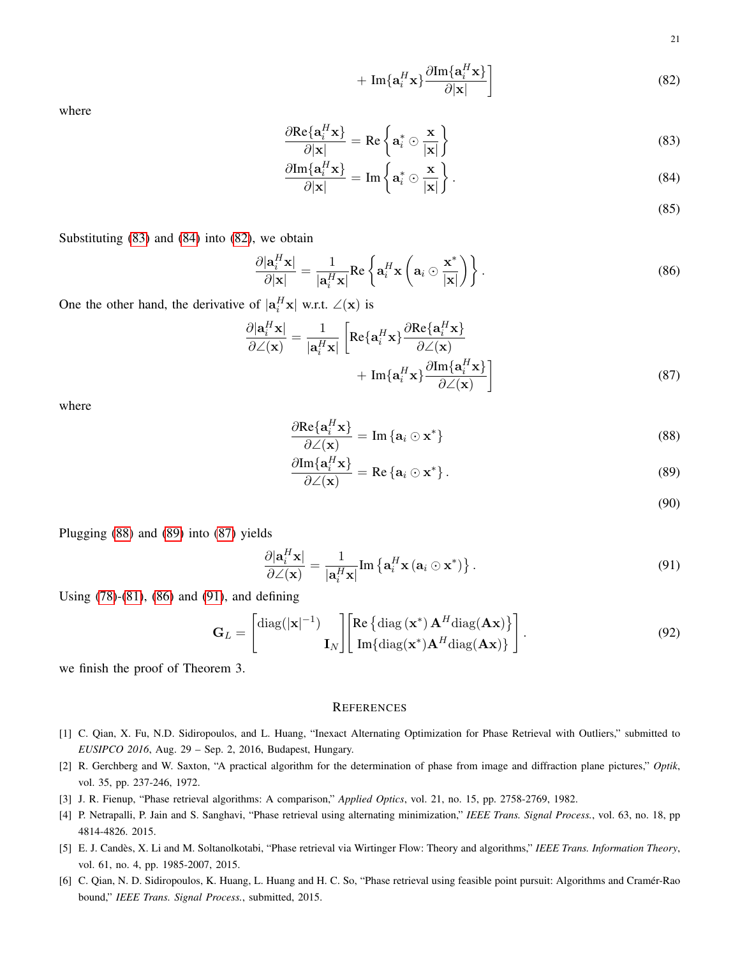<span id="page-20-8"></span>21

$$
+\operatorname{Im}\{\mathbf{a}_i^H\mathbf{x}\}\frac{\partial \operatorname{Im}\{\mathbf{a}_i^H\mathbf{x}\}}{\partial|\mathbf{x}|}\bigg]
$$
(82)

where

$$
\frac{\partial \text{Re}\{\mathbf{a}_i^H \mathbf{x}\}}{\partial |\mathbf{x}|} = \text{Re}\left\{\mathbf{a}_i^* \odot \frac{\mathbf{x}}{|\mathbf{x}|}\right\} \tag{83}
$$

$$
\frac{\partial \text{Im}\{\mathbf{a}_i^H \mathbf{x}\}}{\partial |\mathbf{x}|} = \text{Im}\left\{\mathbf{a}_i^* \odot \frac{\mathbf{x}}{|\mathbf{x}|}\right\}.
$$
\n(84)

<span id="page-20-12"></span><span id="page-20-7"></span><span id="page-20-6"></span>(85)

Substituting [\(83\)](#page-20-6) and [\(84\)](#page-20-7) into [\(82\)](#page-20-8), we obtain

$$
\frac{\partial |\mathbf{a}_i^H \mathbf{x}|}{\partial |\mathbf{x}|} = \frac{1}{|\mathbf{a}_i^H \mathbf{x}|} \text{Re} \left\{ \mathbf{a}_i^H \mathbf{x} \left( \mathbf{a}_i \odot \frac{\mathbf{x}^*}{|\mathbf{x}|} \right) \right\}.
$$
 (86)

One the other hand, the derivative of  $|\mathbf{a}_i^H \mathbf{x}|$  w.r.t.  $\angle(\mathbf{x})$  is

$$
\frac{\partial |\mathbf{a}_i^H \mathbf{x}|}{\partial \angle(\mathbf{x})} = \frac{1}{|\mathbf{a}_i^H \mathbf{x}|} \left[ \text{Re}\{\mathbf{a}_i^H \mathbf{x}\} \frac{\partial \text{Re}\{\mathbf{a}_i^H \mathbf{x}\}}{\partial \angle(\mathbf{x})} + \text{Im}\{\mathbf{a}_i^H \mathbf{x}\} \frac{\partial \text{Im}\{\mathbf{a}_i^H \mathbf{x}\}}{\partial \angle(\mathbf{x})} \right]
$$
(87)

where

$$
\frac{\partial \text{Re}\{\mathbf{a}_i^H \mathbf{x}\}}{\partial \angle(\mathbf{x})} = \text{Im}\{\mathbf{a}_i \odot \mathbf{x}^*\}\tag{88}
$$

$$
\frac{\partial \text{Im}\{\mathbf{a}_i^H \mathbf{x}\}}{\partial \angle(\mathbf{x})} = \text{Re}\{\mathbf{a}_i \odot \mathbf{x}^*\}.
$$
\n(89)

<span id="page-20-13"></span><span id="page-20-11"></span><span id="page-20-10"></span><span id="page-20-9"></span>(90)

Plugging [\(88\)](#page-20-9) and [\(89\)](#page-20-10) into [\(87\)](#page-20-11) yields

$$
\frac{\partial |\mathbf{a}_i^H \mathbf{x}|}{\partial \angle(\mathbf{x})} = \frac{1}{|\mathbf{a}_i^H \mathbf{x}|} \text{Im} \left\{ \mathbf{a}_i^H \mathbf{x} \left( \mathbf{a}_i \odot \mathbf{x}^* \right) \right\}.
$$
\n(91)

Using [\(78\)](#page-19-3)-[\(81\)](#page-19-4), [\(86\)](#page-20-12) and [\(91\)](#page-20-13), and defining

$$
\mathbf{G}_{L} = \begin{bmatrix} \text{diag}(|\mathbf{x}|^{-1}) \\ \mathbf{I}_{N} \end{bmatrix} \begin{bmatrix} \text{Re} \{ \text{diag} (\mathbf{x}^{*}) \mathbf{A}^{H} \text{diag}(\mathbf{A}\mathbf{x}) \} \\ \text{Im} \{ \text{diag} (\mathbf{x}^{*}) \mathbf{A}^{H} \text{diag}(\mathbf{A}\mathbf{x}) \} \end{bmatrix} . \tag{92}
$$

we finish the proof of Theorem 3.

#### **REFERENCES**

- <span id="page-20-2"></span>[1] C. Qian, X. Fu, N.D. Sidiropoulos, and L. Huang, "Inexact Alternating Optimization for Phase Retrieval with Outliers," submitted to *EUSIPCO 2016*, Aug. 29 – Sep. 2, 2016, Budapest, Hungary.
- <span id="page-20-0"></span>[2] R. Gerchberg and W. Saxton, "A practical algorithm for the determination of phase from image and diffraction plane pictures," *Optik*, vol. 35, pp. 237-246, 1972.
- <span id="page-20-1"></span>[3] J. R. Fienup, "Phase retrieval algorithms: A comparison," *Applied Optics*, vol. 21, no. 15, pp. 2758-2769, 1982.
- <span id="page-20-3"></span>[4] P. Netrapalli, P. Jain and S. Sanghavi, "Phase retrieval using alternating minimization," *IEEE Trans. Signal Process.*, vol. 63, no. 18, pp 4814-4826. 2015.
- <span id="page-20-4"></span>[5] E. J. Candès, X. Li and M. Soltanolkotabi, "Phase retrieval via Wirtinger Flow: Theory and algorithms," IEEE Trans. Information Theory, vol. 61, no. 4, pp. 1985-2007, 2015.
- <span id="page-20-5"></span>[6] C. Qian, N. D. Sidiropoulos, K. Huang, L. Huang and H. C. So, "Phase retrieval using feasible point pursuit: Algorithms and Cramer-Rao ´ bound," *IEEE Trans. Signal Process.*, submitted, 2015.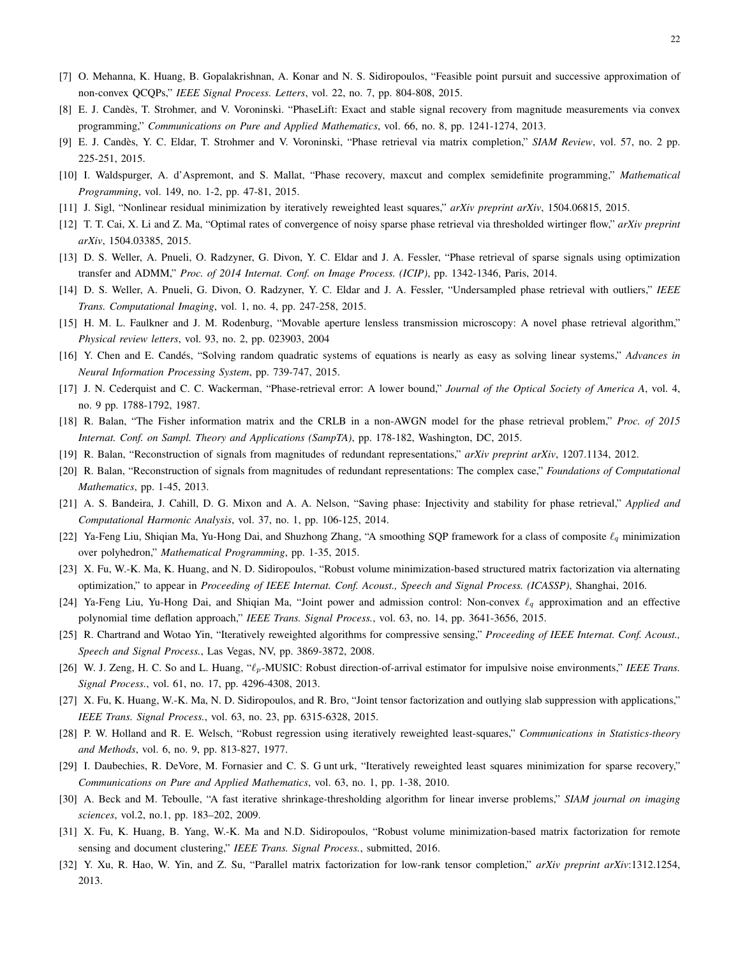- <span id="page-21-1"></span>[7] O. Mehanna, K. Huang, B. Gopalakrishnan, A. Konar and N. S. Sidiropoulos, "Feasible point pursuit and successive approximation of non-convex QCQPs," *IEEE Signal Process. Letters*, vol. 22, no. 7, pp. 804-808, 2015.
- <span id="page-21-0"></span>[8] E. J. Candes, T. Strohmer, and V. Voroninski. "PhaseLift: Exact and stable signal recovery from magnitude measurements via convex ` programming," *Communications on Pure and Applied Mathematics*, vol. 66, no. 8, pp. 1241-1274, 2013.
- <span id="page-21-2"></span>[9] E. J. Candes, Y. C. Eldar, T. Strohmer and V. Voroninski, "Phase retrieval via matrix completion," ` *SIAM Review*, vol. 57, no. 2 pp. 225-251, 2015.
- <span id="page-21-8"></span>[10] I. Waldspurger, A. d'Aspremont, and S. Mallat, "Phase recovery, maxcut and complex semidefinite programming," *Mathematical Programming*, vol. 149, no. 1-2, pp. 47-81, 2015.
- <span id="page-21-3"></span>[11] J. Sigl, "Nonlinear residual minimization by iteratively reweighted least squares," *arXiv preprint arXiv*, 1504.06815, 2015.
- [12] T. T. Cai, X. Li and Z. Ma, "Optimal rates of convergence of noisy sparse phase retrieval via thresholded wirtinger flow," *arXiv preprint arXiv*, 1504.03385, 2015.
- <span id="page-21-6"></span>[13] D. S. Weller, A. Pnueli, O. Radzyner, G. Divon, Y. C. Eldar and J. A. Fessler, "Phase retrieval of sparse signals using optimization transfer and ADMM," *Proc. of 2014 Internat. Conf. on Image Process. (ICIP)*, pp. 1342-1346, Paris, 2014.
- <span id="page-21-5"></span>[14] D. S. Weller, A. Pnueli, G. Divon, O. Radzyner, Y. C. Eldar and J. A. Fessler, "Undersampled phase retrieval with outliers," *IEEE Trans. Computational Imaging*, vol. 1, no. 4, pp. 247-258, 2015.
- <span id="page-21-4"></span>[15] H. M. L. Faulkner and J. M. Rodenburg, "Movable aperture lensless transmission microscopy: A novel phase retrieval algorithm," *Physical review letters*, vol. 93, no. 2, pp. 023903, 2004
- <span id="page-21-7"></span>[16] Y. Chen and E. Candés, "Solving random quadratic systems of equations is nearly as easy as solving linear systems," *Advances in Neural Information Processing System*, pp. 739-747, 2015.
- <span id="page-21-9"></span>[17] J. N. Cederquist and C. C. Wackerman, "Phase-retrieval error: A lower bound," *Journal of the Optical Society of America A*, vol. 4, no. 9 pp. 1788-1792, 1987.
- <span id="page-21-18"></span>[18] R. Balan, "The Fisher information matrix and the CRLB in a non-AWGN model for the phase retrieval problem," *Proc. of 2015 Internat. Conf. on Sampl. Theory and Applications (SampTA)*, pp. 178-182, Washington, DC, 2015.
- <span id="page-21-19"></span>[19] R. Balan, "Reconstruction of signals from magnitudes of redundant representations," *arXiv preprint arXiv*, 1207.1134, 2012.
- <span id="page-21-20"></span>[20] R. Balan, "Reconstruction of signals from magnitudes of redundant representations: The complex case," *Foundations of Computational Mathematics*, pp. 1-45, 2013.
- <span id="page-21-10"></span>[21] A. S. Bandeira, J. Cahill, D. G. Mixon and A. A. Nelson, "Saving phase: Injectivity and stability for phase retrieval," *Applied and Computational Harmonic Analysis*, vol. 37, no. 1, pp. 106-125, 2014.
- <span id="page-21-11"></span>[22] Ya-Feng Liu, Shiqian Ma, Yu-Hong Dai, and Shuzhong Zhang, "A smoothing SQP framework for a class of composite  $\ell_q$  minimization over polyhedron," *Mathematical Programming*, pp. 1-35, 2015.
- [23] X. Fu, W.-K. Ma, K. Huang, and N. D. Sidiropoulos, "Robust volume minimization-based structured matrix factorization via alternating optimization," to appear in *Proceeding of IEEE Internat. Conf. Acoust., Speech and Signal Process. (ICASSP)*, Shanghai, 2016.
- [24] Ya-Feng Liu, Yu-Hong Dai, and Shiqian Ma, "Joint power and admission control: Non-convex  $\ell_q$  approximation and an effective polynomial time deflation approach," *IEEE Trans. Signal Process.*, vol. 63, no. 14, pp. 3641-3656, 2015.
- [25] R. Chartrand and Wotao Yin, "Iteratively reweighted algorithms for compressive sensing," *Proceeding of IEEE Internat. Conf. Acoust., Speech and Signal Process.*, Las Vegas, NV, pp. 3869-3872, 2008.
- <span id="page-21-12"></span>[26] W. J. Zeng, H. C. So and L. Huang, " $\ell_p$ -MUSIC: Robust direction-of-arrival estimator for impulsive noise environments," *IEEE Trans. Signal Process.*, vol. 61, no. 17, pp. 4296-4308, 2013.
- <span id="page-21-13"></span>[27] X. Fu, K. Huang, W.-K. Ma, N. D. Sidiropoulos, and R. Bro, "Joint tensor factorization and outlying slab suppression with applications," *IEEE Trans. Signal Process.*, vol. 63, no. 23, pp. 6315-6328, 2015.
- [28] P. W. Holland and R. E. Welsch, "Robust regression using iteratively reweighted least-squares," *Communications in Statistics-theory and Methods*, vol. 6, no. 9, pp. 813-827, 1977.
- <span id="page-21-14"></span>[29] I. Daubechies, R. DeVore, M. Fornasier and C. S. G unt urk, "Iteratively reweighted least squares minimization for sparse recovery," *Communications on Pure and Applied Mathematics*, vol. 63, no. 1, pp. 1-38, 2010.
- <span id="page-21-15"></span>[30] A. Beck and M. Teboulle, "A fast iterative shrinkage-thresholding algorithm for linear inverse problems," *SIAM journal on imaging sciences*, vol.2, no.1, pp. 183–202, 2009.
- <span id="page-21-16"></span>[31] X. Fu, K. Huang, B. Yang, W.-K. Ma and N.D. Sidiropoulos, "Robust volume minimization-based matrix factorization for remote sensing and document clustering," *IEEE Trans. Signal Process.*, submitted, 2016.
- <span id="page-21-17"></span>[32] Y. Xu, R. Hao, W. Yin, and Z. Su, "Parallel matrix factorization for low-rank tensor completion," *arXiv preprint arXiv*:1312.1254, 2013.